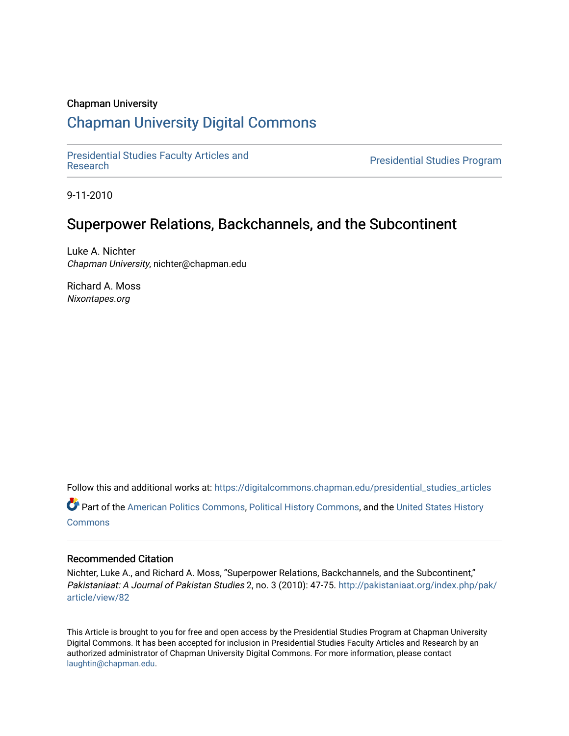#### Chapman University

# [Chapman University Digital Commons](https://digitalcommons.chapman.edu/)

[Presidential Studies Faculty Articles and](https://digitalcommons.chapman.edu/presidential_studies_articles) 

**Presidential Studies Program** 

9-11-2010

# Superpower Relations, Backchannels, and the Subcontinent

Luke A. Nichter Chapman University, nichter@chapman.edu

Richard A. Moss Nixontapes.org

Follow this and additional works at: [https://digitalcommons.chapman.edu/presidential\\_studies\\_articles](https://digitalcommons.chapman.edu/presidential_studies_articles?utm_source=digitalcommons.chapman.edu%2Fpresidential_studies_articles%2F1&utm_medium=PDF&utm_campaign=PDFCoverPages) 

Part of the [American Politics Commons,](http://network.bepress.com/hgg/discipline/387?utm_source=digitalcommons.chapman.edu%2Fpresidential_studies_articles%2F1&utm_medium=PDF&utm_campaign=PDFCoverPages) [Political History Commons,](http://network.bepress.com/hgg/discipline/505?utm_source=digitalcommons.chapman.edu%2Fpresidential_studies_articles%2F1&utm_medium=PDF&utm_campaign=PDFCoverPages) and the [United States History](http://network.bepress.com/hgg/discipline/495?utm_source=digitalcommons.chapman.edu%2Fpresidential_studies_articles%2F1&utm_medium=PDF&utm_campaign=PDFCoverPages) **[Commons](http://network.bepress.com/hgg/discipline/495?utm_source=digitalcommons.chapman.edu%2Fpresidential_studies_articles%2F1&utm_medium=PDF&utm_campaign=PDFCoverPages)** 

### Recommended Citation

Nichter, Luke A., and Richard A. Moss, "Superpower Relations, Backchannels, and the Subcontinent," Pakistaniaat: A Journal of Pakistan Studies 2, no. 3 (2010): 47-75. [http://pakistaniaat.org/index.php/pak/](http://pakistaniaat.org/index.php/pak/article/view/82) [article/view/82](http://pakistaniaat.org/index.php/pak/article/view/82)

This Article is brought to you for free and open access by the Presidential Studies Program at Chapman University Digital Commons. It has been accepted for inclusion in Presidential Studies Faculty Articles and Research by an authorized administrator of Chapman University Digital Commons. For more information, please contact [laughtin@chapman.edu.](mailto:laughtin@chapman.edu)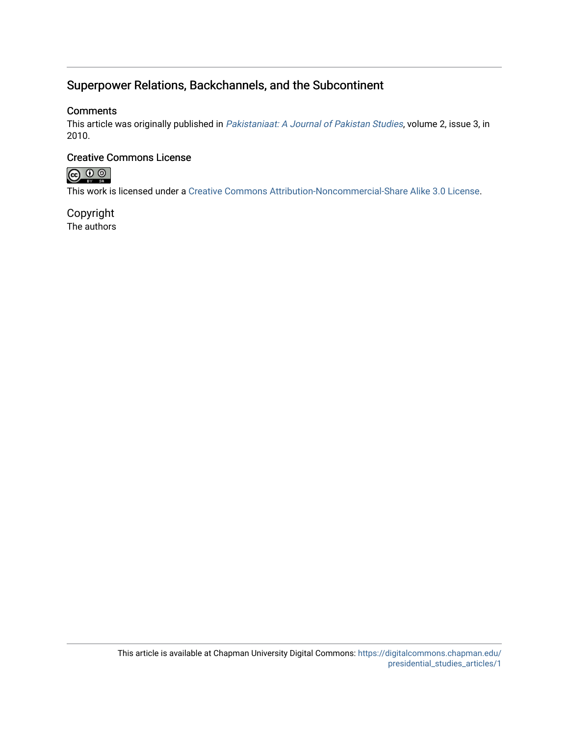## Superpower Relations, Backchannels, and the Subcontinent

### **Comments**

This article was originally published in [Pakistaniaat: A Journal of Pakistan Studies](http://pakistaniaat.org/index.php/pak/article/view/82), volume 2, issue 3, in 2010.

### Creative Commons License



This work is licensed under a [Creative Commons Attribution-Noncommercial-Share Alike 3.0 License](https://creativecommons.org/licenses/by-nc-sa/3.0/).

Copyright The authors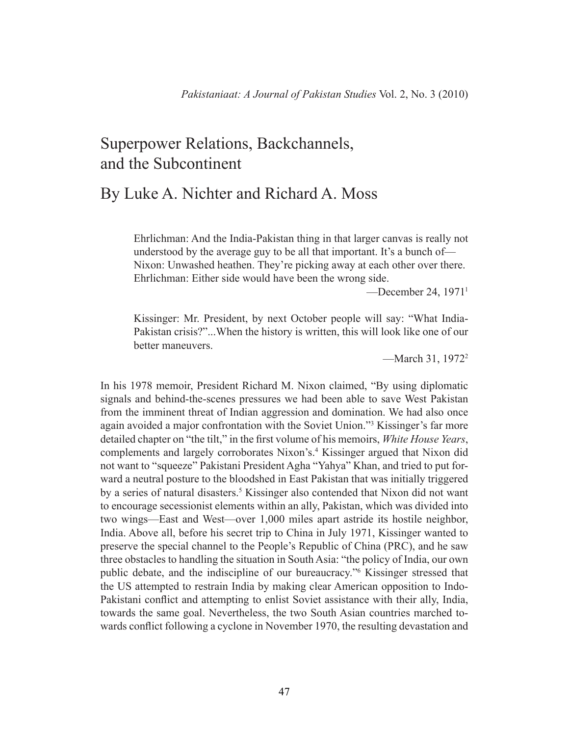# Superpower Relations, Backchannels, and the Subcontinent

# By Luke A. Nichter and Richard A. Moss

Ehrlichman: And the India-Pakistan thing in that larger canvas is really not understood by the average guy to be all that important. It's a bunch of— Nixon: Unwashed heathen. They're picking away at each other over there. Ehrlichman: Either side would have been the wrong side.

—December 24,  $1971<sup>1</sup>$ 

Kissinger: Mr. President, by next October people will say: "What India-Pakistan crisis?"...When the history is written, this will look like one of our better maneuvers.

—March 31,  $1972^2$ 

In his 1978 memoir, President Richard M. Nixon claimed, "By using diplomatic signals and behind-the-scenes pressures we had been able to save West Pakistan from the imminent threat of Indian aggression and domination. We had also once again avoided a major confrontation with the Soviet Union."3 Kissinger's far more detailed chapter on "the tilt," in the first volume of his memoirs, *White House Years*, complements and largely corroborates Nixon's.<sup>4</sup> Kissinger argued that Nixon did not want to "squeeze" Pakistani President Agha "Yahya" Khan, and tried to put forward a neutral posture to the bloodshed in East Pakistan that was initially triggered by a series of natural disasters.<sup>5</sup> Kissinger also contended that Nixon did not want to encourage secessionist elements within an ally, Pakistan, which was divided into two wings—East and West—over 1,000 miles apart astride its hostile neighbor, India. Above all, before his secret trip to China in July 1971, Kissinger wanted to preserve the special channel to the People's Republic of China (PRC), and he saw three obstacles to handling the situation in South Asia: "the policy of India, our own public debate, and the indiscipline of our bureaucracy."6 Kissinger stressed that the US attempted to restrain India by making clear American opposition to Indo-Pakistani conflict and attempting to enlist Soviet assistance with their ally, India, towards the same goal. Nevertheless, the two South Asian countries marched towards conflict following a cyclone in November 1970, the resulting devastation and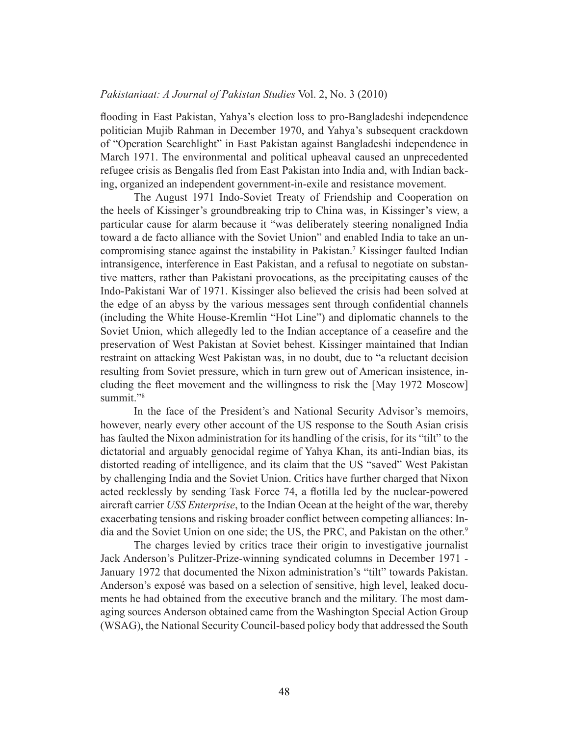flooding in East Pakistan, Yahya's election loss to pro-Bangladeshi independence politician Mujib Rahman in December 1970, and Yahya's subsequent crackdown of "Operation Searchlight" in East Pakistan against Bangladeshi independence in March 1971. The environmental and political upheaval caused an unprecedented refugee crisis as Bengalis fled from East Pakistan into India and, with Indian backing, organized an independent government-in-exile and resistance movement.

The August 1971 Indo-Soviet Treaty of Friendship and Cooperation on the heels of Kissinger's groundbreaking trip to China was, in Kissinger's view, a particular cause for alarm because it "was deliberately steering nonaligned India toward a de facto alliance with the Soviet Union" and enabled India to take an uncompromising stance against the instability in Pakistan.7 Kissinger faulted Indian intransigence, interference in East Pakistan, and a refusal to negotiate on substantive matters, rather than Pakistani provocations, as the precipitating causes of the Indo-Pakistani War of 1971. Kissinger also believed the crisis had been solved at the edge of an abyss by the various messages sent through confidential channels (including the White House-Kremlin "Hot Line") and diplomatic channels to the Soviet Union, which allegedly led to the Indian acceptance of a ceasefire and the preservation of West Pakistan at Soviet behest. Kissinger maintained that Indian restraint on attacking West Pakistan was, in no doubt, due to "a reluctant decision resulting from Soviet pressure, which in turn grew out of American insistence, including the fleet movement and the willingness to risk the [May 1972 Moscow] summit."<sup>8</sup>

In the face of the President's and National Security Advisor's memoirs, however, nearly every other account of the US response to the South Asian crisis has faulted the Nixon administration for its handling of the crisis, for its "tilt" to the dictatorial and arguably genocidal regime of Yahya Khan, its anti-Indian bias, its distorted reading of intelligence, and its claim that the US "saved" West Pakistan by challenging India and the Soviet Union. Critics have further charged that Nixon acted recklessly by sending Task Force 74, a flotilla led by the nuclear-powered aircraft carrier *USS Enterprise*, to the Indian Ocean at the height of the war, thereby exacerbating tensions and risking broader conflict between competing alliances: India and the Soviet Union on one side; the US, the PRC, and Pakistan on the other. 9

The charges levied by critics trace their origin to investigative journalist Jack Anderson's Pulitzer-Prize-winning syndicated columns in December 1971 - January 1972 that documented the Nixon administration's "tilt" towards Pakistan. Anderson's exposé was based on a selection of sensitive, high level, leaked documents he had obtained from the executive branch and the military. The most damaging sources Anderson obtained came from the Washington Special Action Group (WSAG), the National Security Council-based policy body that addressed the South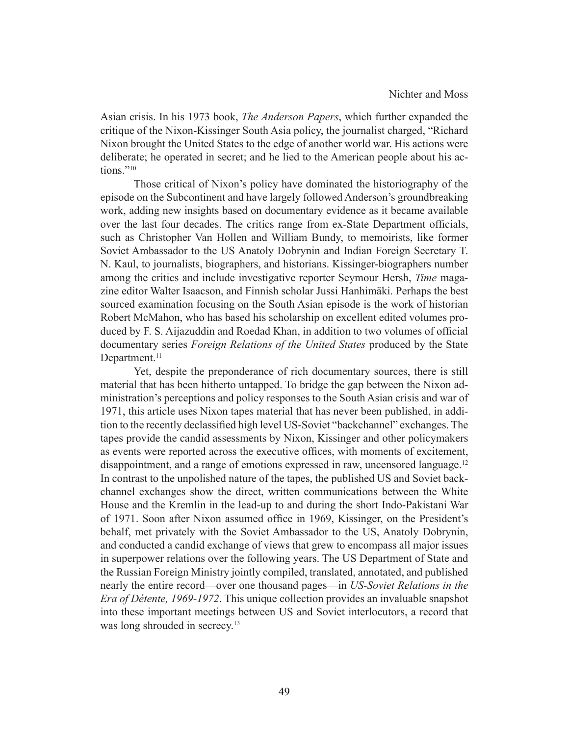Asian crisis. In his 1973 book, *The Anderson Papers*, which further expanded the critique of the Nixon-Kissinger South Asia policy, the journalist charged, "Richard Nixon brought the United States to the edge of another world war. His actions were deliberate; he operated in secret; and he lied to the American people about his actions."<sup>10</sup>

Those critical of Nixon's policy have dominated the historiography of the episode on the Subcontinent and have largely followed Anderson's groundbreaking work, adding new insights based on documentary evidence as it became available over the last four decades. The critics range from ex-State Department officials, such as Christopher Van Hollen and William Bundy, to memoirists, like former Soviet Ambassador to the US Anatoly Dobrynin and Indian Foreign Secretary T. N. Kaul, to journalists, biographers, and historians. Kissinger-biographers number among the critics and include investigative reporter Seymour Hersh, *Time* magazine editor Walter Isaacson, and Finnish scholar Jussi Hanhimäki. Perhaps the best sourced examination focusing on the South Asian episode is the work of historian Robert McMahon, who has based his scholarship on excellent edited volumes produced by F. S. Aijazuddin and Roedad Khan, in addition to two volumes of official documentary series *Foreign Relations of the United States* produced by the State Department.<sup>11</sup>

Yet, despite the preponderance of rich documentary sources, there is still material that has been hitherto untapped. To bridge the gap between the Nixon administration's perceptions and policy responses to the South Asian crisis and war of 1971, this article uses Nixon tapes material that has never been published, in addition to the recently declassified high level US-Soviet "backchannel" exchanges. The tapes provide the candid assessments by Nixon, Kissinger and other policymakers as events were reported across the executive offices, with moments of excitement, disappointment, and a range of emotions expressed in raw, uncensored language.<sup>12</sup> In contrast to the unpolished nature of the tapes, the published US and Soviet backchannel exchanges show the direct, written communications between the White House and the Kremlin in the lead-up to and during the short Indo-Pakistani War of 1971. Soon after Nixon assumed office in 1969, Kissinger, on the President's behalf, met privately with the Soviet Ambassador to the US, Anatoly Dobrynin, and conducted a candid exchange of views that grew to encompass all major issues in superpower relations over the following years. The US Department of State and the Russian Foreign Ministry jointly compiled, translated, annotated, and published nearly the entire record—over one thousand pages—in *US-Soviet Relations in the Era of Détente, 1969-1972*. This unique collection provides an invaluable snapshot into these important meetings between US and Soviet interlocutors, a record that was long shrouded in secrecy.<sup>13</sup>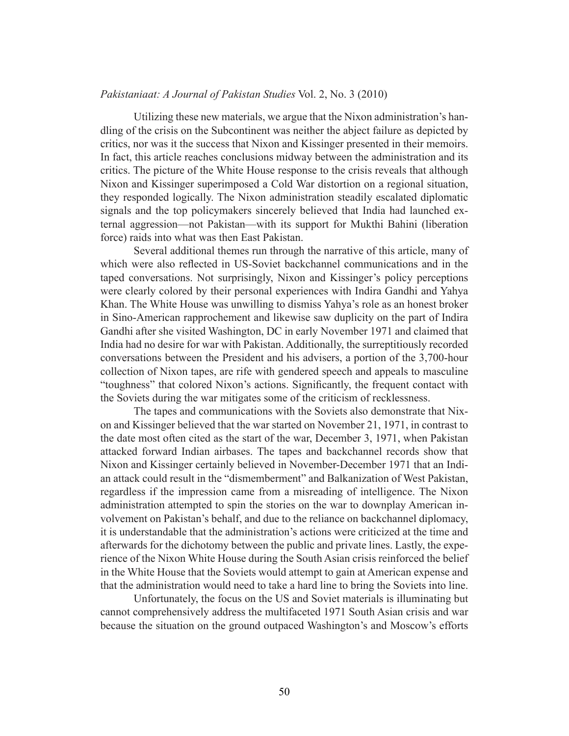Utilizing these new materials, we argue that the Nixon administration's handling of the crisis on the Subcontinent was neither the abject failure as depicted by critics, nor was it the success that Nixon and Kissinger presented in their memoirs. In fact, this article reaches conclusions midway between the administration and its critics. The picture of the White House response to the crisis reveals that although Nixon and Kissinger superimposed a Cold War distortion on a regional situation, they responded logically. The Nixon administration steadily escalated diplomatic signals and the top policymakers sincerely believed that India had launched external aggression—not Pakistan—with its support for Mukthi Bahini (liberation force) raids into what was then East Pakistan.

Several additional themes run through the narrative of this article, many of which were also reflected in US-Soviet backchannel communications and in the taped conversations. Not surprisingly, Nixon and Kissinger's policy perceptions were clearly colored by their personal experiences with Indira Gandhi and Yahya Khan. The White House was unwilling to dismiss Yahya's role as an honest broker in Sino-American rapprochement and likewise saw duplicity on the part of Indira Gandhi after she visited Washington, DC in early November 1971 and claimed that India had no desire for war with Pakistan. Additionally, the surreptitiously recorded conversations between the President and his advisers, a portion of the 3,700-hour collection of Nixon tapes, are rife with gendered speech and appeals to masculine "toughness" that colored Nixon's actions. Significantly, the frequent contact with the Soviets during the war mitigates some of the criticism of recklessness.

The tapes and communications with the Soviets also demonstrate that Nixon and Kissinger believed that the war started on November 21, 1971, in contrast to the date most often cited as the start of the war, December 3, 1971, when Pakistan attacked forward Indian airbases. The tapes and backchannel records show that Nixon and Kissinger certainly believed in November-December 1971 that an Indian attack could result in the "dismemberment" and Balkanization of West Pakistan, regardless if the impression came from a misreading of intelligence. The Nixon administration attempted to spin the stories on the war to downplay American involvement on Pakistan's behalf, and due to the reliance on backchannel diplomacy, it is understandable that the administration's actions were criticized at the time and afterwards for the dichotomy between the public and private lines. Lastly, the experience of the Nixon White House during the South Asian crisis reinforced the belief in the White House that the Soviets would attempt to gain at American expense and that the administration would need to take a hard line to bring the Soviets into line.

Unfortunately, the focus on the US and Soviet materials is illuminating but cannot comprehensively address the multifaceted 1971 South Asian crisis and war because the situation on the ground outpaced Washington's and Moscow's efforts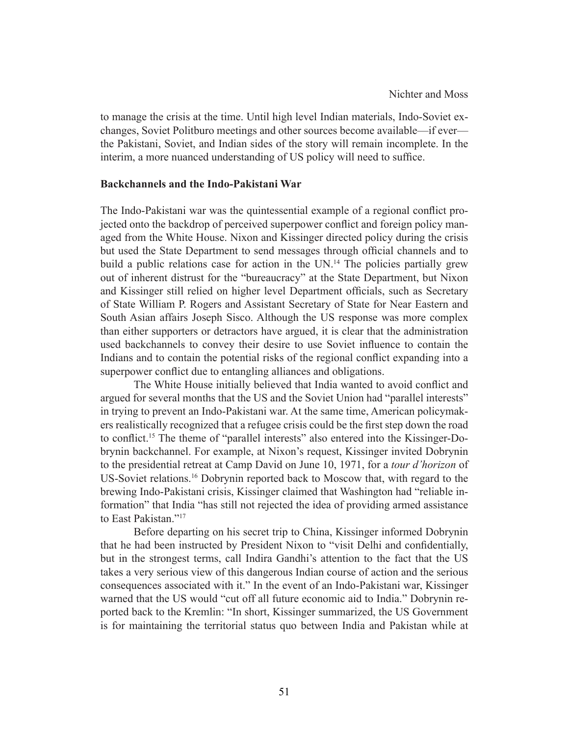to manage the crisis at the time. Until high level Indian materials, Indo-Soviet exchanges, Soviet Politburo meetings and other sources become available—if ever the Pakistani, Soviet, and Indian sides of the story will remain incomplete. In the interim, a more nuanced understanding of US policy will need to suffice.

#### **Backchannels and the Indo-Pakistani War**

The Indo-Pakistani war was the quintessential example of a regional conflict projected onto the backdrop of perceived superpower conflict and foreign policy managed from the White House. Nixon and Kissinger directed policy during the crisis but used the State Department to send messages through official channels and to build a public relations case for action in the UN.<sup>14</sup> The policies partially grew out of inherent distrust for the "bureaucracy" at the State Department, but Nixon and Kissinger still relied on higher level Department officials, such as Secretary of State William P. Rogers and Assistant Secretary of State for Near Eastern and South Asian affairs Joseph Sisco. Although the US response was more complex than either supporters or detractors have argued, it is clear that the administration used backchannels to convey their desire to use Soviet influence to contain the Indians and to contain the potential risks of the regional conflict expanding into a superpower conflict due to entangling alliances and obligations.

The White House initially believed that India wanted to avoid conflict and argued for several months that the US and the Soviet Union had "parallel interests" in trying to prevent an Indo-Pakistani war. At the same time, American policymakers realistically recognized that a refugee crisis could be the first step down the road to conflict.15 The theme of "parallel interests" also entered into the Kissinger-Dobrynin backchannel. For example, at Nixon's request, Kissinger invited Dobrynin to the presidential retreat at Camp David on June 10, 1971, for a *tour d'horizon* of US-Soviet relations.16 Dobrynin reported back to Moscow that, with regard to the brewing Indo-Pakistani crisis, Kissinger claimed that Washington had "reliable information" that India "has still not rejected the idea of providing armed assistance to East Pakistan<sup>"17</sup>

Before departing on his secret trip to China, Kissinger informed Dobrynin that he had been instructed by President Nixon to "visit Delhi and confidentially, but in the strongest terms, call Indira Gandhi's attention to the fact that the US takes a very serious view of this dangerous Indian course of action and the serious consequences associated with it." In the event of an Indo-Pakistani war, Kissinger warned that the US would "cut off all future economic aid to India." Dobrynin reported back to the Kremlin: "In short, Kissinger summarized, the US Government is for maintaining the territorial status quo between India and Pakistan while at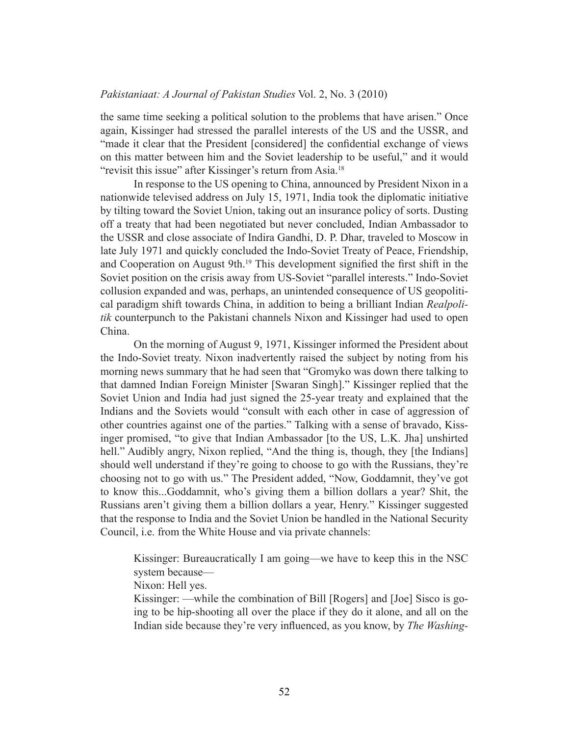the same time seeking a political solution to the problems that have arisen." Once again, Kissinger had stressed the parallel interests of the US and the USSR, and "made it clear that the President [considered] the confidential exchange of views on this matter between him and the Soviet leadership to be useful," and it would "revisit this issue" after Kissinger's return from Asia.<sup>18</sup>

In response to the US opening to China, announced by President Nixon in a nationwide televised address on July 15, 1971, India took the diplomatic initiative by tilting toward the Soviet Union, taking out an insurance policy of sorts. Dusting off a treaty that had been negotiated but never concluded, Indian Ambassador to the USSR and close associate of Indira Gandhi, D. P. Dhar, traveled to Moscow in late July 1971 and quickly concluded the Indo-Soviet Treaty of Peace, Friendship, and Cooperation on August 9th.<sup>19</sup> This development signified the first shift in the Soviet position on the crisis away from US-Soviet "parallel interests." Indo-Soviet collusion expanded and was, perhaps, an unintended consequence of US geopolitical paradigm shift towards China, in addition to being a brilliant Indian *Realpolitik* counterpunch to the Pakistani channels Nixon and Kissinger had used to open China.

On the morning of August 9, 1971, Kissinger informed the President about the Indo-Soviet treaty. Nixon inadvertently raised the subject by noting from his morning news summary that he had seen that "Gromyko was down there talking to that damned Indian Foreign Minister [Swaran Singh]." Kissinger replied that the Soviet Union and India had just signed the 25-year treaty and explained that the Indians and the Soviets would "consult with each other in case of aggression of other countries against one of the parties." Talking with a sense of bravado, Kissinger promised, "to give that Indian Ambassador [to the US, L.K. Jha] unshirted hell." Audibly angry, Nixon replied, "And the thing is, though, they [the Indians] should well understand if they're going to choose to go with the Russians, they're choosing not to go with us." The President added, "Now, Goddamnit, they've got to know this...Goddamnit, who's giving them a billion dollars a year? Shit, the Russians aren't giving them a billion dollars a year, Henry." Kissinger suggested that the response to India and the Soviet Union be handled in the National Security Council, i.e. from the White House and via private channels:

Kissinger: Bureaucratically I am going—we have to keep this in the NSC system because—

Nixon: Hell yes.

Kissinger: —while the combination of Bill [Rogers] and [Joe] Sisco is going to be hip-shooting all over the place if they do it alone, and all on the Indian side because they're very influenced, as you know, by *The Washing-*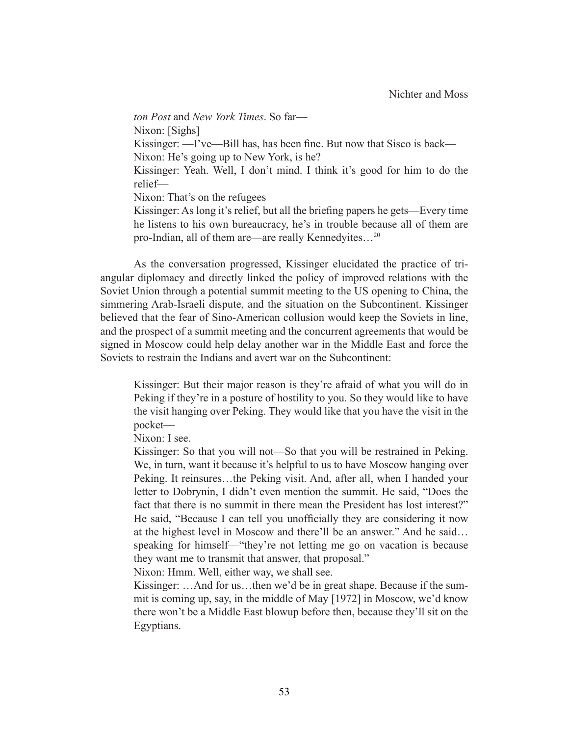*ton Post* and *New York Times*. So far— Nixon: [Sighs] Kissinger: —I've—Bill has, has been fine. But now that Sisco is back— Nixon: He's going up to New York, is he? Kissinger: Yeah. Well, I don't mind. I think it's good for him to do the relief— Nixon: That's on the refugees— Kissinger: As long it's relief, but all the briefing papers he gets—Every time he listens to his own bureaucracy, he's in trouble because all of them are

As the conversation progressed, Kissinger elucidated the practice of triangular diplomacy and directly linked the policy of improved relations with the Soviet Union through a potential summit meeting to the US opening to China, the simmering Arab-Israeli dispute, and the situation on the Subcontinent. Kissinger believed that the fear of Sino-American collusion would keep the Soviets in line, and the prospect of a summit meeting and the concurrent agreements that would be signed in Moscow could help delay another war in the Middle East and force the Soviets to restrain the Indians and avert war on the Subcontinent:

pro-Indian, all of them are—are really Kennedyites…20

Kissinger: But their major reason is they're afraid of what you will do in Peking if they're in a posture of hostility to you. So they would like to have the visit hanging over Peking. They would like that you have the visit in the pocket—

Nixon: I see.

Kissinger: So that you will not—So that you will be restrained in Peking. We, in turn, want it because it's helpful to us to have Moscow hanging over Peking. It reinsures…the Peking visit. And, after all, when I handed your letter to Dobrynin, I didn't even mention the summit. He said, "Does the fact that there is no summit in there mean the President has lost interest?" He said, "Because I can tell you unofficially they are considering it now at the highest level in Moscow and there'll be an answer." And he said… speaking for himself—"they're not letting me go on vacation is because they want me to transmit that answer, that proposal."

Nixon: Hmm. Well, either way, we shall see.

Kissinger: …And for us…then we'd be in great shape. Because if the summit is coming up, say, in the middle of May [1972] in Moscow, we'd know there won't be a Middle East blowup before then, because they'll sit on the Egyptians.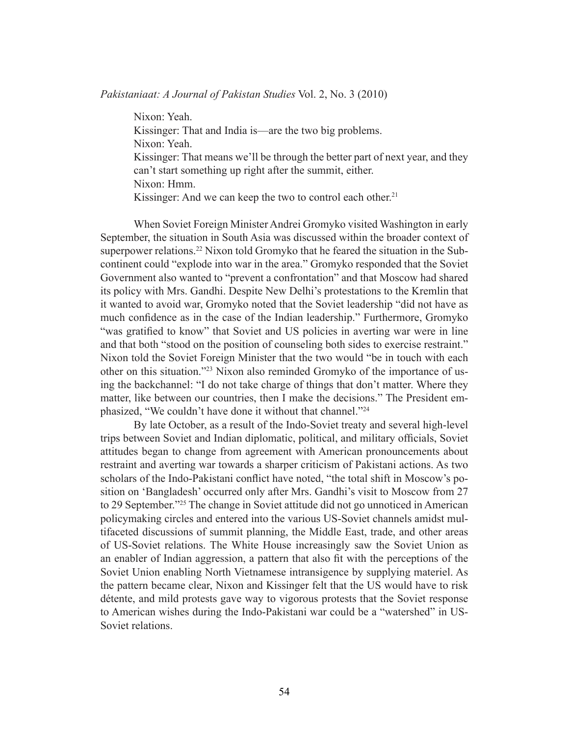Nixon: Yeah. Kissinger: That and India is—are the two big problems. Nixon: Yeah. Kissinger: That means we'll be through the better part of next year, and they can't start something up right after the summit, either. Nixon: Hmm. Kissinger: And we can keep the two to control each other.<sup>21</sup>

When Soviet Foreign Minister Andrei Gromyko visited Washington in early September, the situation in South Asia was discussed within the broader context of superpower relations.<sup>22</sup> Nixon told Gromyko that he feared the situation in the Subcontinent could "explode into war in the area." Gromyko responded that the Soviet Government also wanted to "prevent a confrontation" and that Moscow had shared its policy with Mrs. Gandhi. Despite New Delhi's protestations to the Kremlin that it wanted to avoid war, Gromyko noted that the Soviet leadership "did not have as much confidence as in the case of the Indian leadership." Furthermore, Gromyko "was gratified to know" that Soviet and US policies in averting war were in line and that both "stood on the position of counseling both sides to exercise restraint." Nixon told the Soviet Foreign Minister that the two would "be in touch with each other on this situation."23 Nixon also reminded Gromyko of the importance of using the backchannel: "I do not take charge of things that don't matter. Where they matter, like between our countries, then I make the decisions." The President emphasized, "We couldn't have done it without that channel."24

By late October, as a result of the Indo-Soviet treaty and several high-level trips between Soviet and Indian diplomatic, political, and military officials, Soviet attitudes began to change from agreement with American pronouncements about restraint and averting war towards a sharper criticism of Pakistani actions. As two scholars of the Indo-Pakistani conflict have noted, "the total shift in Moscow's position on 'Bangladesh' occurred only after Mrs. Gandhi's visit to Moscow from 27 to 29 September."25 The change in Soviet attitude did not go unnoticed in American policymaking circles and entered into the various US-Soviet channels amidst multifaceted discussions of summit planning, the Middle East, trade, and other areas of US-Soviet relations. The White House increasingly saw the Soviet Union as an enabler of Indian aggression, a pattern that also fit with the perceptions of the Soviet Union enabling North Vietnamese intransigence by supplying materiel. As the pattern became clear, Nixon and Kissinger felt that the US would have to risk détente, and mild protests gave way to vigorous protests that the Soviet response to American wishes during the Indo-Pakistani war could be a "watershed" in US-Soviet relations.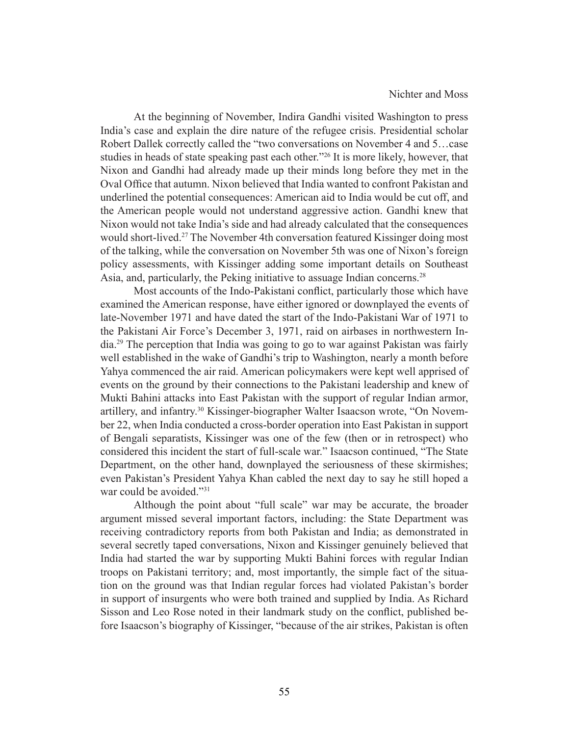At the beginning of November, Indira Gandhi visited Washington to press India's case and explain the dire nature of the refugee crisis. Presidential scholar Robert Dallek correctly called the "two conversations on November 4 and 5…case studies in heads of state speaking past each other."26 It is more likely, however, that Nixon and Gandhi had already made up their minds long before they met in the Oval Office that autumn. Nixon believed that India wanted to confront Pakistan and underlined the potential consequences: American aid to India would be cut off, and the American people would not understand aggressive action. Gandhi knew that Nixon would not take India's side and had already calculated that the consequences would short-lived.<sup>27</sup> The November 4th conversation featured Kissinger doing most of the talking, while the conversation on November 5th was one of Nixon's foreign policy assessments, with Kissinger adding some important details on Southeast Asia, and, particularly, the Peking initiative to assuage Indian concerns.<sup>28</sup>

Most accounts of the Indo-Pakistani conflict, particularly those which have examined the American response, have either ignored or downplayed the events of late-November 1971 and have dated the start of the Indo-Pakistani War of 1971 to the Pakistani Air Force's December 3, 1971, raid on airbases in northwestern India.29 The perception that India was going to go to war against Pakistan was fairly well established in the wake of Gandhi's trip to Washington, nearly a month before Yahya commenced the air raid. American policymakers were kept well apprised of events on the ground by their connections to the Pakistani leadership and knew of Mukti Bahini attacks into East Pakistan with the support of regular Indian armor, artillery, and infantry.30 Kissinger-biographer Walter Isaacson wrote, "On November 22, when India conducted a cross-border operation into East Pakistan in support of Bengali separatists, Kissinger was one of the few (then or in retrospect) who considered this incident the start of full-scale war." Isaacson continued, "The State Department, on the other hand, downplayed the seriousness of these skirmishes; even Pakistan's President Yahya Khan cabled the next day to say he still hoped a war could be avoided."<sup>31</sup>

Although the point about "full scale" war may be accurate, the broader argument missed several important factors, including: the State Department was receiving contradictory reports from both Pakistan and India; as demonstrated in several secretly taped conversations, Nixon and Kissinger genuinely believed that India had started the war by supporting Mukti Bahini forces with regular Indian troops on Pakistani territory; and, most importantly, the simple fact of the situation on the ground was that Indian regular forces had violated Pakistan's border in support of insurgents who were both trained and supplied by India. As Richard Sisson and Leo Rose noted in their landmark study on the conflict, published before Isaacson's biography of Kissinger, "because of the air strikes, Pakistan is often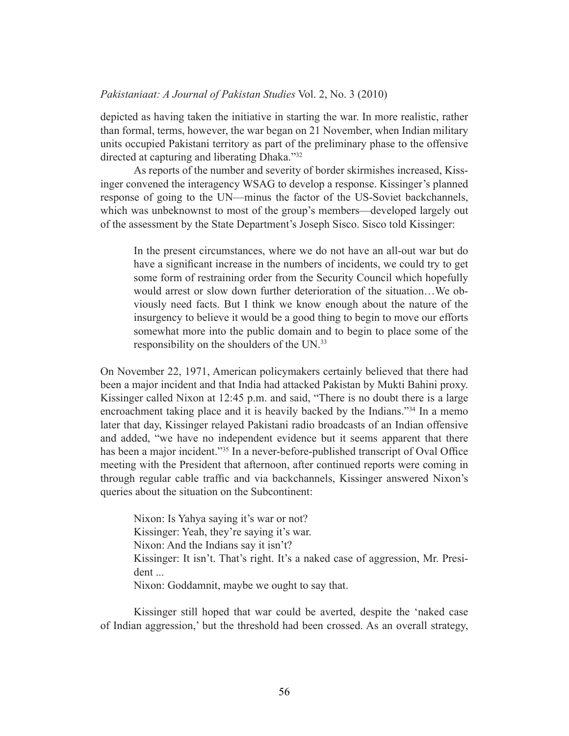depicted as having taken the initiative in starting the war. In more realistic, rather than formal, terms, however, the war began on 21 November, when Indian military units occupied Pakistani territory as part of the preliminary phase to the offensive directed at capturing and liberating Dhaka."32

As reports of the number and severity of border skirmishes increased, Kissinger convened the interagency WSAG to develop a response. Kissinger's planned response of going to the UN—minus the factor of the US-Soviet backchannels, which was unbeknownst to most of the group's members—developed largely out of the assessment by the State Department's Joseph Sisco. Sisco told Kissinger:

In the present circumstances, where we do not have an all-out war but do have a significant increase in the numbers of incidents, we could try to get some form of restraining order from the Security Council which hopefully would arrest or slow down further deterioration of the situation…We obviously need facts. But I think we know enough about the nature of the insurgency to believe it would be a good thing to begin to move our efforts somewhat more into the public domain and to begin to place some of the responsibility on the shoulders of the UN.33

On November 22, 1971, American policymakers certainly believed that there had been a major incident and that India had attacked Pakistan by Mukti Bahini proxy. Kissinger called Nixon at 12:45 p.m. and said, "There is no doubt there is a large encroachment taking place and it is heavily backed by the Indians."<sup>34</sup> In a memo later that day, Kissinger relayed Pakistani radio broadcasts of an Indian offensive and added, "we have no independent evidence but it seems apparent that there has been a major incident."35 In a never-before-published transcript of Oval Office meeting with the President that afternoon, after continued reports were coming in through regular cable traffic and via backchannels, Kissinger answered Nixon's queries about the situation on the Subcontinent:

Nixon: Is Yahya saying it's war or not? Kissinger: Yeah, they're saying it's war. Nixon: And the Indians say it isn't? Kissinger: It isn't. That's right. It's a naked case of aggression, Mr. President ... Nixon: Goddamnit, maybe we ought to say that.

Kissinger still hoped that war could be averted, despite the 'naked case of Indian aggression,' but the threshold had been crossed. As an overall strategy,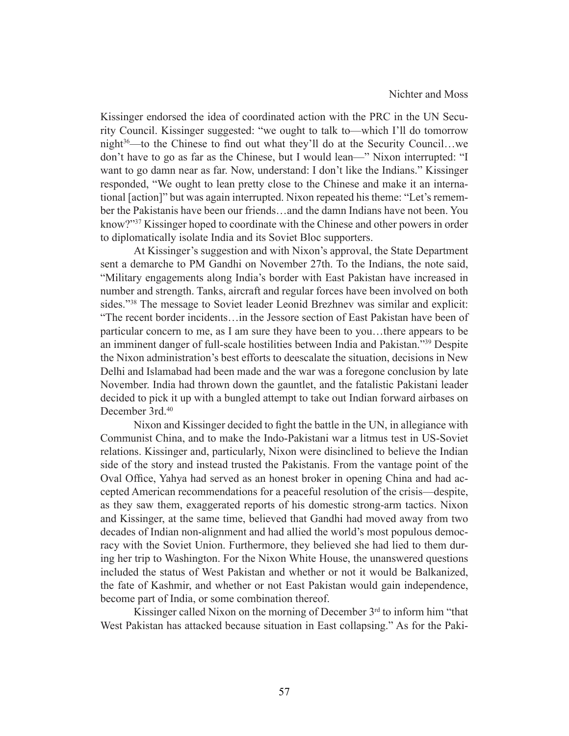Kissinger endorsed the idea of coordinated action with the PRC in the UN Security Council. Kissinger suggested: "we ought to talk to—which I'll do tomorrow night<sup>36</sup>—to the Chinese to find out what they'll do at the Security Council…we don't have to go as far as the Chinese, but I would lean—" Nixon interrupted: "I want to go damn near as far. Now, understand: I don't like the Indians." Kissinger responded, "We ought to lean pretty close to the Chinese and make it an international [action]" but was again interrupted. Nixon repeated his theme: "Let's remember the Pakistanis have been our friends…and the damn Indians have not been. You know?"37 Kissinger hoped to coordinate with the Chinese and other powers in order to diplomatically isolate India and its Soviet Bloc supporters.

At Kissinger's suggestion and with Nixon's approval, the State Department sent a demarche to PM Gandhi on November 27th. To the Indians, the note said, "Military engagements along India's border with East Pakistan have increased in number and strength. Tanks, aircraft and regular forces have been involved on both sides."<sup>38</sup> The message to Soviet leader Leonid Brezhnev was similar and explicit: "The recent border incidents…in the Jessore section of East Pakistan have been of particular concern to me, as I am sure they have been to you…there appears to be an imminent danger of full-scale hostilities between India and Pakistan."39 Despite the Nixon administration's best efforts to deescalate the situation, decisions in New Delhi and Islamabad had been made and the war was a foregone conclusion by late November. India had thrown down the gauntlet, and the fatalistic Pakistani leader decided to pick it up with a bungled attempt to take out Indian forward airbases on December 3rd.<sup>40</sup>

Nixon and Kissinger decided to fight the battle in the UN, in allegiance with Communist China, and to make the Indo-Pakistani war a litmus test in US-Soviet relations. Kissinger and, particularly, Nixon were disinclined to believe the Indian side of the story and instead trusted the Pakistanis. From the vantage point of the Oval Office, Yahya had served as an honest broker in opening China and had accepted American recommendations for a peaceful resolution of the crisis—despite, as they saw them, exaggerated reports of his domestic strong-arm tactics. Nixon and Kissinger, at the same time, believed that Gandhi had moved away from two decades of Indian non-alignment and had allied the world's most populous democracy with the Soviet Union. Furthermore, they believed she had lied to them during her trip to Washington. For the Nixon White House, the unanswered questions included the status of West Pakistan and whether or not it would be Balkanized, the fate of Kashmir, and whether or not East Pakistan would gain independence, become part of India, or some combination thereof.

Kissinger called Nixon on the morning of December  $3<sup>rd</sup>$  to inform him "that West Pakistan has attacked because situation in East collapsing." As for the Paki-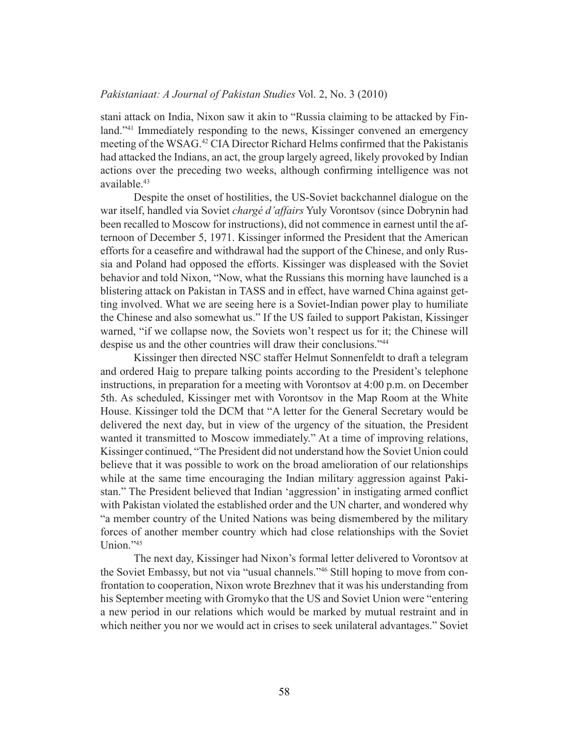stani attack on India, Nixon saw it akin to "Russia claiming to be attacked by Finland."<sup>41</sup> Immediately responding to the news, Kissinger convened an emergency meeting of the WSAG.42 CIA Director Richard Helms confirmed that the Pakistanis had attacked the Indians, an act, the group largely agreed, likely provoked by Indian actions over the preceding two weeks, although confirming intelligence was not available.43

Despite the onset of hostilities, the US-Soviet backchannel dialogue on the war itself, handled via Soviet *chargé d'affairs* Yuly Vorontsov (since Dobrynin had been recalled to Moscow for instructions), did not commence in earnest until the afternoon of December 5, 1971. Kissinger informed the President that the American efforts for a ceasefire and withdrawal had the support of the Chinese, and only Russia and Poland had opposed the efforts. Kissinger was displeased with the Soviet behavior and told Nixon, "Now, what the Russians this morning have launched is a blistering attack on Pakistan in TASS and in effect, have warned China against getting involved. What we are seeing here is a Soviet-Indian power play to humiliate the Chinese and also somewhat us." If the US failed to support Pakistan, Kissinger warned, "if we collapse now, the Soviets won't respect us for it; the Chinese will despise us and the other countries will draw their conclusions."44

Kissinger then directed NSC staffer Helmut Sonnenfeldt to draft a telegram and ordered Haig to prepare talking points according to the President's telephone instructions, in preparation for a meeting with Vorontsov at 4:00 p.m. on December 5th. As scheduled, Kissinger met with Vorontsov in the Map Room at the White House. Kissinger told the DCM that "A letter for the General Secretary would be delivered the next day, but in view of the urgency of the situation, the President wanted it transmitted to Moscow immediately." At a time of improving relations, Kissinger continued, "The President did not understand how the Soviet Union could believe that it was possible to work on the broad amelioration of our relationships while at the same time encouraging the Indian military aggression against Pakistan." The President believed that Indian 'aggression' in instigating armed conflict with Pakistan violated the established order and the UN charter, and wondered why "a member country of the United Nations was being dismembered by the military forces of another member country which had close relationships with the Soviet Union $^{345}$ 

The next day, Kissinger had Nixon's formal letter delivered to Vorontsov at the Soviet Embassy, but not via "usual channels."46 Still hoping to move from confrontation to cooperation, Nixon wrote Brezhnev that it was his understanding from his September meeting with Gromyko that the US and Soviet Union were "entering a new period in our relations which would be marked by mutual restraint and in which neither you nor we would act in crises to seek unilateral advantages." Soviet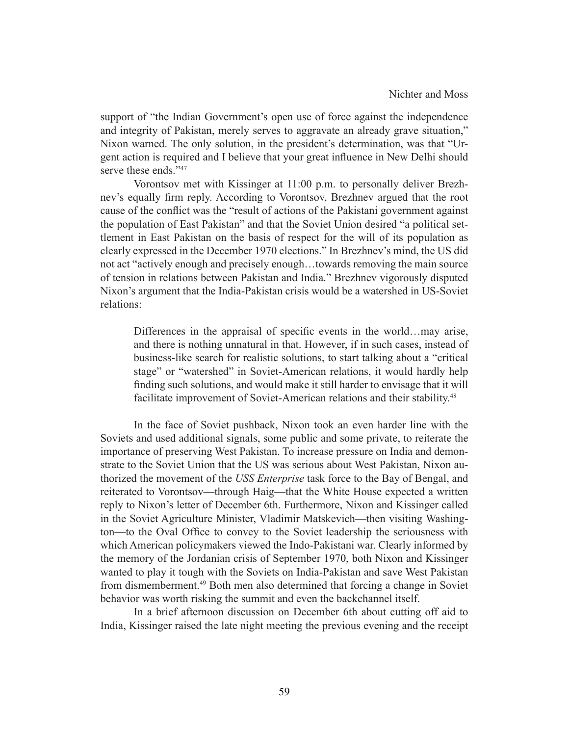support of "the Indian Government's open use of force against the independence and integrity of Pakistan, merely serves to aggravate an already grave situation," Nixon warned. The only solution, in the president's determination, was that "Urgent action is required and I believe that your great influence in New Delhi should serve these ends."47

Vorontsov met with Kissinger at 11:00 p.m. to personally deliver Brezhnev's equally firm reply. According to Vorontsov, Brezhnev argued that the root cause of the conflict was the "result of actions of the Pakistani government against the population of East Pakistan" and that the Soviet Union desired "a political settlement in East Pakistan on the basis of respect for the will of its population as clearly expressed in the December 1970 elections." In Brezhnev's mind, the US did not act "actively enough and precisely enough…towards removing the main source of tension in relations between Pakistan and India." Brezhnev vigorously disputed Nixon's argument that the India-Pakistan crisis would be a watershed in US-Soviet relations:

Differences in the appraisal of specific events in the world…may arise, and there is nothing unnatural in that. However, if in such cases, instead of business-like search for realistic solutions, to start talking about a "critical stage" or "watershed" in Soviet-American relations, it would hardly help finding such solutions, and would make it still harder to envisage that it will facilitate improvement of Soviet-American relations and their stability.<sup>48</sup>

In the face of Soviet pushback, Nixon took an even harder line with the Soviets and used additional signals, some public and some private, to reiterate the importance of preserving West Pakistan. To increase pressure on India and demonstrate to the Soviet Union that the US was serious about West Pakistan, Nixon authorized the movement of the *USS Enterprise* task force to the Bay of Bengal, and reiterated to Vorontsov—through Haig—that the White House expected a written reply to Nixon's letter of December 6th. Furthermore, Nixon and Kissinger called in the Soviet Agriculture Minister, Vladimir Matskevich—then visiting Washington—to the Oval Office to convey to the Soviet leadership the seriousness with which American policymakers viewed the Indo-Pakistani war. Clearly informed by the memory of the Jordanian crisis of September 1970, both Nixon and Kissinger wanted to play it tough with the Soviets on India-Pakistan and save West Pakistan from dismemberment.49 Both men also determined that forcing a change in Soviet behavior was worth risking the summit and even the backchannel itself.

In a brief afternoon discussion on December 6th about cutting off aid to India, Kissinger raised the late night meeting the previous evening and the receipt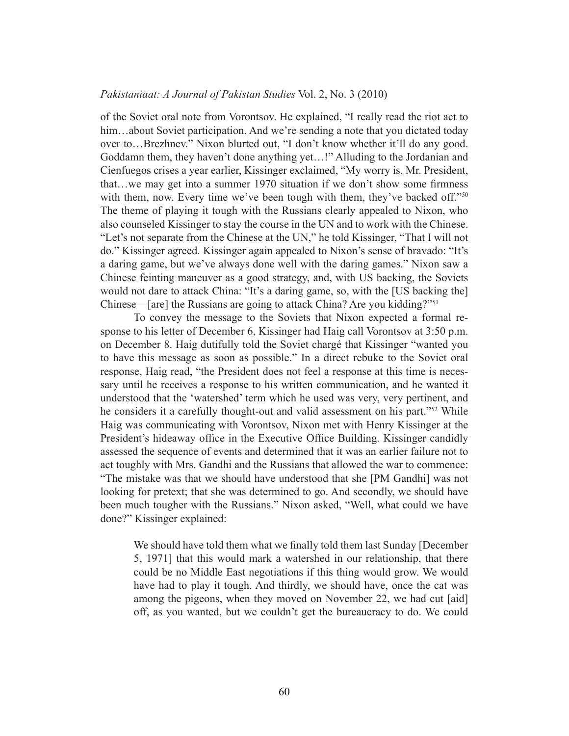of the Soviet oral note from Vorontsov. He explained, "I really read the riot act to him...about Soviet participation. And we're sending a note that you dictated today over to…Brezhnev." Nixon blurted out, "I don't know whether it'll do any good. Goddamn them, they haven't done anything yet…!" Alluding to the Jordanian and Cienfuegos crises a year earlier, Kissinger exclaimed, "My worry is, Mr. President, that…we may get into a summer 1970 situation if we don't show some firmness with them, now. Every time we've been tough with them, they've backed off."<sup>50</sup> The theme of playing it tough with the Russians clearly appealed to Nixon, who also counseled Kissinger to stay the course in the UN and to work with the Chinese. "Let's not separate from the Chinese at the UN," he told Kissinger, "That I will not do." Kissinger agreed. Kissinger again appealed to Nixon's sense of bravado: "It's a daring game, but we've always done well with the daring games." Nixon saw a Chinese feinting maneuver as a good strategy, and, with US backing, the Soviets would not dare to attack China: "It's a daring game, so, with the [US backing the] Chinese—[are] the Russians are going to attack China? Are you kidding?"51

To convey the message to the Soviets that Nixon expected a formal response to his letter of December 6, Kissinger had Haig call Vorontsov at 3:50 p.m. on December 8. Haig dutifully told the Soviet chargé that Kissinger "wanted you to have this message as soon as possible." In a direct rebuke to the Soviet oral response, Haig read, "the President does not feel a response at this time is necessary until he receives a response to his written communication, and he wanted it understood that the 'watershed' term which he used was very, very pertinent, and he considers it a carefully thought-out and valid assessment on his part."52 While Haig was communicating with Vorontsov, Nixon met with Henry Kissinger at the President's hideaway office in the Executive Office Building. Kissinger candidly assessed the sequence of events and determined that it was an earlier failure not to act toughly with Mrs. Gandhi and the Russians that allowed the war to commence: "The mistake was that we should have understood that she [PM Gandhi] was not looking for pretext; that she was determined to go. And secondly, we should have been much tougher with the Russians." Nixon asked, "Well, what could we have done?" Kissinger explained:

We should have told them what we finally told them last Sunday [December 5, 1971] that this would mark a watershed in our relationship, that there could be no Middle East negotiations if this thing would grow. We would have had to play it tough. And thirdly, we should have, once the cat was among the pigeons, when they moved on November 22, we had cut [aid] off, as you wanted, but we couldn't get the bureaucracy to do. We could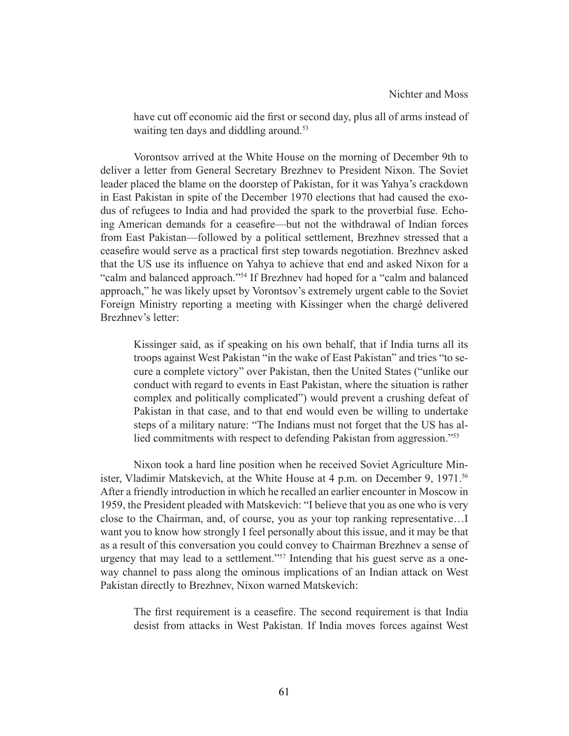have cut off economic aid the first or second day, plus all of arms instead of waiting ten days and diddling around.<sup>53</sup>

Vorontsov arrived at the White House on the morning of December 9th to deliver a letter from General Secretary Brezhnev to President Nixon. The Soviet leader placed the blame on the doorstep of Pakistan, for it was Yahya's crackdown in East Pakistan in spite of the December 1970 elections that had caused the exodus of refugees to India and had provided the spark to the proverbial fuse. Echoing American demands for a ceasefire—but not the withdrawal of Indian forces from East Pakistan—followed by a political settlement, Brezhnev stressed that a ceasefire would serve as a practical first step towards negotiation. Brezhnev asked that the US use its influence on Yahya to achieve that end and asked Nixon for a "calm and balanced approach."54 If Brezhnev had hoped for a "calm and balanced approach," he was likely upset by Vorontsov's extremely urgent cable to the Soviet Foreign Ministry reporting a meeting with Kissinger when the chargé delivered Brezhnev's letter:

Kissinger said, as if speaking on his own behalf, that if India turns all its troops against West Pakistan "in the wake of East Pakistan" and tries "to secure a complete victory" over Pakistan, then the United States ("unlike our conduct with regard to events in East Pakistan, where the situation is rather complex and politically complicated") would prevent a crushing defeat of Pakistan in that case, and to that end would even be willing to undertake steps of a military nature: "The Indians must not forget that the US has allied commitments with respect to defending Pakistan from aggression."55

Nixon took a hard line position when he received Soviet Agriculture Minister, Vladimir Matskevich, at the White House at 4 p.m. on December 9, 1971.<sup>56</sup> After a friendly introduction in which he recalled an earlier encounter in Moscow in 1959, the President pleaded with Matskevich: "I believe that you as one who is very close to the Chairman, and, of course, you as your top ranking representative…I want you to know how strongly I feel personally about this issue, and it may be that as a result of this conversation you could convey to Chairman Brezhnev a sense of urgency that may lead to a settlement."57 Intending that his guest serve as a oneway channel to pass along the ominous implications of an Indian attack on West Pakistan directly to Brezhnev, Nixon warned Matskevich:

The first requirement is a ceasefire. The second requirement is that India desist from attacks in West Pakistan. If India moves forces against West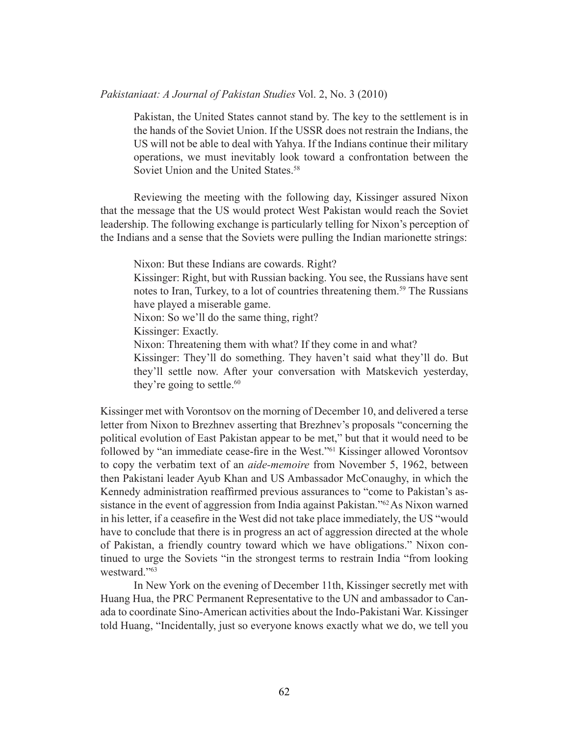Pakistan, the United States cannot stand by. The key to the settlement is in the hands of the Soviet Union. If the USSR does not restrain the Indians, the US will not be able to deal with Yahya. If the Indians continue their military operations, we must inevitably look toward a confrontation between the Soviet Union and the United States.<sup>58</sup>

Reviewing the meeting with the following day, Kissinger assured Nixon that the message that the US would protect West Pakistan would reach the Soviet leadership. The following exchange is particularly telling for Nixon's perception of the Indians and a sense that the Soviets were pulling the Indian marionette strings:

Nixon: But these Indians are cowards. Right? Kissinger: Right, but with Russian backing. You see, the Russians have sent notes to Iran, Turkey, to a lot of countries threatening them.59 The Russians have played a miserable game. Nixon: So we'll do the same thing, right? Kissinger: Exactly. Nixon: Threatening them with what? If they come in and what? Kissinger: They'll do something. They haven't said what they'll do. But they'll settle now. After your conversation with Matskevich yesterday, they're going to settle. $60$ 

Kissinger met with Vorontsov on the morning of December 10, and delivered a terse letter from Nixon to Brezhnev asserting that Brezhnev's proposals "concerning the political evolution of East Pakistan appear to be met," but that it would need to be followed by "an immediate cease-fire in the West."61 Kissinger allowed Vorontsov to copy the verbatim text of an *aide-memoire* from November 5, 1962, between then Pakistani leader Ayub Khan and US Ambassador McConaughy, in which the Kennedy administration reaffirmed previous assurances to "come to Pakistan's assistance in the event of aggression from India against Pakistan."62 As Nixon warned in his letter, if a ceasefire in the West did not take place immediately, the US "would have to conclude that there is in progress an act of aggression directed at the whole of Pakistan, a friendly country toward which we have obligations." Nixon continued to urge the Soviets "in the strongest terms to restrain India "from looking westward<sup>"63</sup>

In New York on the evening of December 11th, Kissinger secretly met with Huang Hua, the PRC Permanent Representative to the UN and ambassador to Canada to coordinate Sino-American activities about the Indo-Pakistani War. Kissinger told Huang, "Incidentally, just so everyone knows exactly what we do, we tell you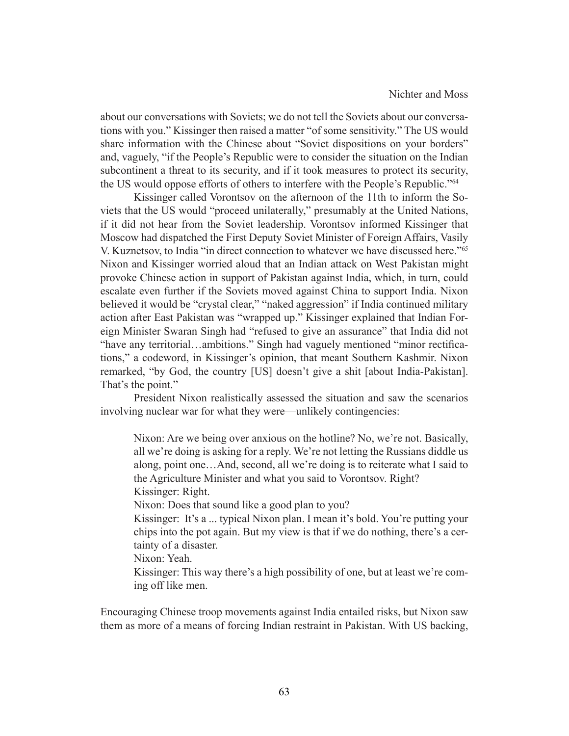about our conversations with Soviets; we do not tell the Soviets about our conversations with you." Kissinger then raised a matter "of some sensitivity." The US would share information with the Chinese about "Soviet dispositions on your borders" and, vaguely, "if the People's Republic were to consider the situation on the Indian subcontinent a threat to its security, and if it took measures to protect its security, the US would oppose efforts of others to interfere with the People's Republic."64

Kissinger called Vorontsov on the afternoon of the 11th to inform the Soviets that the US would "proceed unilaterally," presumably at the United Nations, if it did not hear from the Soviet leadership. Vorontsov informed Kissinger that Moscow had dispatched the First Deputy Soviet Minister of Foreign Affairs, Vasily V. Kuznetsov, to India "in direct connection to whatever we have discussed here."65 Nixon and Kissinger worried aloud that an Indian attack on West Pakistan might provoke Chinese action in support of Pakistan against India, which, in turn, could escalate even further if the Soviets moved against China to support India. Nixon believed it would be "crystal clear," "naked aggression" if India continued military action after East Pakistan was "wrapped up." Kissinger explained that Indian Foreign Minister Swaran Singh had "refused to give an assurance" that India did not "have any territorial…ambitions." Singh had vaguely mentioned "minor rectifications," a codeword, in Kissinger's opinion, that meant Southern Kashmir. Nixon remarked, "by God, the country [US] doesn't give a shit [about India-Pakistan]. That's the point."

President Nixon realistically assessed the situation and saw the scenarios involving nuclear war for what they were—unlikely contingencies:

Nixon: Are we being over anxious on the hotline? No, we're not. Basically, all we're doing is asking for a reply. We're not letting the Russians diddle us along, point one…And, second, all we're doing is to reiterate what I said to the Agriculture Minister and what you said to Vorontsov. Right? Kissinger: Right.

Nixon: Does that sound like a good plan to you?

Kissinger: It's a ... typical Nixon plan. I mean it's bold. You're putting your chips into the pot again. But my view is that if we do nothing, there's a certainty of a disaster.

Nixon: Yeah.

Kissinger: This way there's a high possibility of one, but at least we're coming off like men.

Encouraging Chinese troop movements against India entailed risks, but Nixon saw them as more of a means of forcing Indian restraint in Pakistan. With US backing,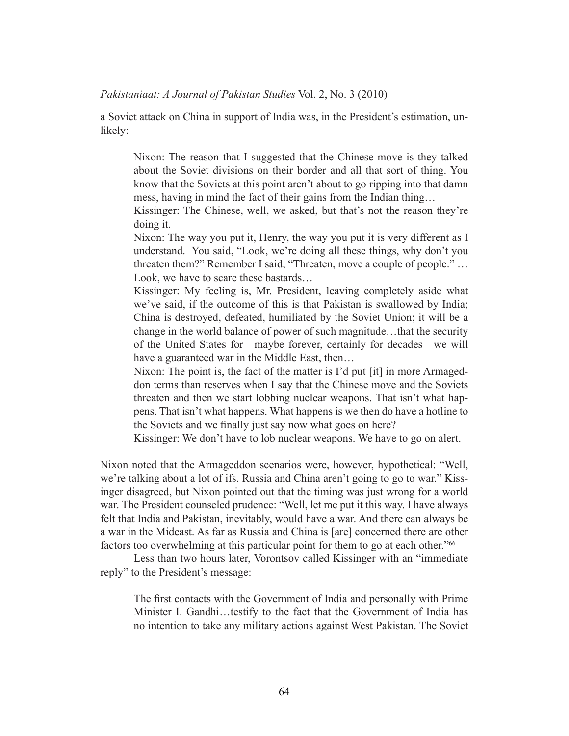a Soviet attack on China in support of India was, in the President's estimation, unlikely:

Nixon: The reason that I suggested that the Chinese move is they talked about the Soviet divisions on their border and all that sort of thing. You know that the Soviets at this point aren't about to go ripping into that damn mess, having in mind the fact of their gains from the Indian thing…

Kissinger: The Chinese, well, we asked, but that's not the reason they're doing it.

Nixon: The way you put it, Henry, the way you put it is very different as I understand. You said, "Look, we're doing all these things, why don't you threaten them?" Remember I said, "Threaten, move a couple of people." … Look, we have to scare these bastards…

Kissinger: My feeling is, Mr. President, leaving completely aside what we've said, if the outcome of this is that Pakistan is swallowed by India; China is destroyed, defeated, humiliated by the Soviet Union; it will be a change in the world balance of power of such magnitude…that the security of the United States for—maybe forever, certainly for decades—we will have a guaranteed war in the Middle East, then…

Nixon: The point is, the fact of the matter is I'd put [it] in more Armageddon terms than reserves when I say that the Chinese move and the Soviets threaten and then we start lobbing nuclear weapons. That isn't what happens. That isn't what happens. What happens is we then do have a hotline to the Soviets and we finally just say now what goes on here?

Kissinger: We don't have to lob nuclear weapons. We have to go on alert.

Nixon noted that the Armageddon scenarios were, however, hypothetical: "Well, we're talking about a lot of ifs. Russia and China aren't going to go to war." Kissinger disagreed, but Nixon pointed out that the timing was just wrong for a world war. The President counseled prudence: "Well, let me put it this way. I have always felt that India and Pakistan, inevitably, would have a war. And there can always be a war in the Mideast. As far as Russia and China is [are] concerned there are other factors too overwhelming at this particular point for them to go at each other."<sup>66</sup>

Less than two hours later, Vorontsov called Kissinger with an "immediate reply" to the President's message:

The first contacts with the Government of India and personally with Prime Minister I. Gandhi…testify to the fact that the Government of India has no intention to take any military actions against West Pakistan. The Soviet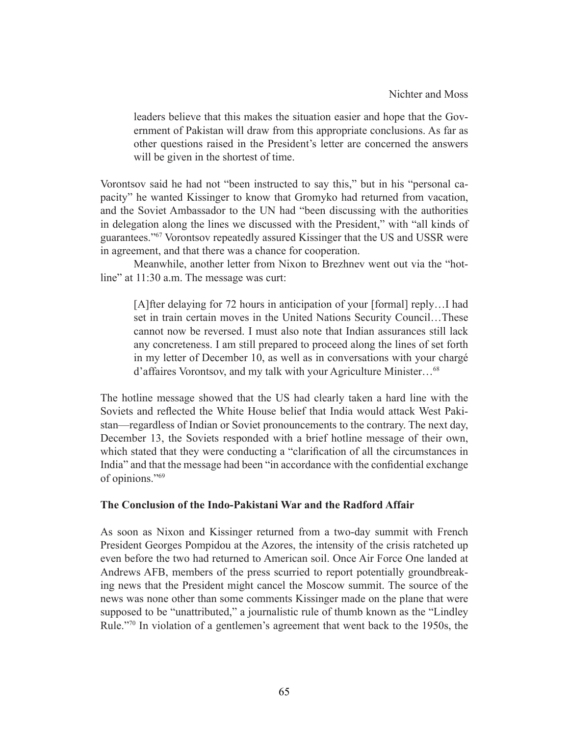leaders believe that this makes the situation easier and hope that the Government of Pakistan will draw from this appropriate conclusions. As far as other questions raised in the President's letter are concerned the answers will be given in the shortest of time.

Vorontsov said he had not "been instructed to say this," but in his "personal capacity" he wanted Kissinger to know that Gromyko had returned from vacation, and the Soviet Ambassador to the UN had "been discussing with the authorities in delegation along the lines we discussed with the President," with "all kinds of guarantees."67 Vorontsov repeatedly assured Kissinger that the US and USSR were in agreement, and that there was a chance for cooperation.

Meanwhile, another letter from Nixon to Brezhnev went out via the "hotline" at 11:30 a.m. The message was curt:

[A]fter delaying for 72 hours in anticipation of your [formal] reply…I had set in train certain moves in the United Nations Security Council…These cannot now be reversed. I must also note that Indian assurances still lack any concreteness. I am still prepared to proceed along the lines of set forth in my letter of December 10, as well as in conversations with your chargé d'affaires Vorontsov, and my talk with your Agriculture Minister…68

The hotline message showed that the US had clearly taken a hard line with the Soviets and reflected the White House belief that India would attack West Pakistan—regardless of Indian or Soviet pronouncements to the contrary. The next day, December 13, the Soviets responded with a brief hotline message of their own, which stated that they were conducting a "clarification of all the circumstances in India" and that the message had been "in accordance with the confidential exchange of opinions."69

## **The Conclusion of the Indo-Pakistani War and the Radford Affair**

As soon as Nixon and Kissinger returned from a two-day summit with French President Georges Pompidou at the Azores, the intensity of the crisis ratcheted up even before the two had returned to American soil. Once Air Force One landed at Andrews AFB, members of the press scurried to report potentially groundbreaking news that the President might cancel the Moscow summit. The source of the news was none other than some comments Kissinger made on the plane that were supposed to be "unattributed," a journalistic rule of thumb known as the "Lindley Rule."70 In violation of a gentlemen's agreement that went back to the 1950s, the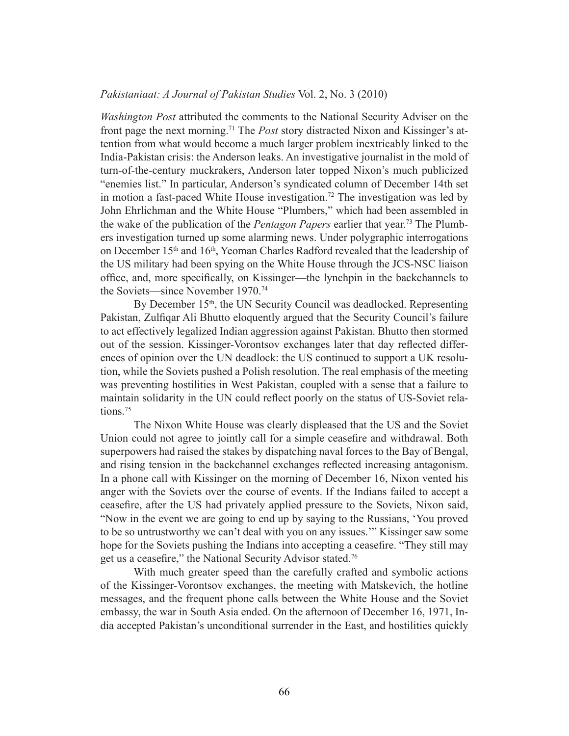*Washington Post* attributed the comments to the National Security Adviser on the front page the next morning.71 The *Post* story distracted Nixon and Kissinger's attention from what would become a much larger problem inextricably linked to the India-Pakistan crisis: the Anderson leaks. An investigative journalist in the mold of turn-of-the-century muckrakers, Anderson later topped Nixon's much publicized "enemies list." In particular, Anderson's syndicated column of December 14th set in motion a fast-paced White House investigation.<sup>72</sup> The investigation was led by John Ehrlichman and the White House "Plumbers," which had been assembled in the wake of the publication of the *Pentagon Papers* earlier that year.73 The Plumbers investigation turned up some alarming news. Under polygraphic interrogations on December 15th and 16th, Yeoman Charles Radford revealed that the leadership of the US military had been spying on the White House through the JCS-NSC liaison office, and, more specifically, on Kissinger—the lynchpin in the backchannels to the Soviets—since November 1970.74

By December 15<sup>th</sup>, the UN Security Council was deadlocked. Representing Pakistan, Zulfiqar Ali Bhutto eloquently argued that the Security Council's failure to act effectively legalized Indian aggression against Pakistan. Bhutto then stormed out of the session. Kissinger-Vorontsov exchanges later that day reflected differences of opinion over the UN deadlock: the US continued to support a UK resolution, while the Soviets pushed a Polish resolution. The real emphasis of the meeting was preventing hostilities in West Pakistan, coupled with a sense that a failure to maintain solidarity in the UN could reflect poorly on the status of US-Soviet relations.<sup>75</sup>

The Nixon White House was clearly displeased that the US and the Soviet Union could not agree to jointly call for a simple ceasefire and withdrawal. Both superpowers had raised the stakes by dispatching naval forces to the Bay of Bengal, and rising tension in the backchannel exchanges reflected increasing antagonism. In a phone call with Kissinger on the morning of December 16, Nixon vented his anger with the Soviets over the course of events. If the Indians failed to accept a ceasefire, after the US had privately applied pressure to the Soviets, Nixon said, "Now in the event we are going to end up by saying to the Russians, 'You proved to be so untrustworthy we can't deal with you on any issues.'" Kissinger saw some hope for the Soviets pushing the Indians into accepting a ceasefire. "They still may get us a ceasefire," the National Security Advisor stated.76

With much greater speed than the carefully crafted and symbolic actions of the Kissinger-Vorontsov exchanges, the meeting with Matskevich, the hotline messages, and the frequent phone calls between the White House and the Soviet embassy, the war in South Asia ended. On the afternoon of December 16, 1971, India accepted Pakistan's unconditional surrender in the East, and hostilities quickly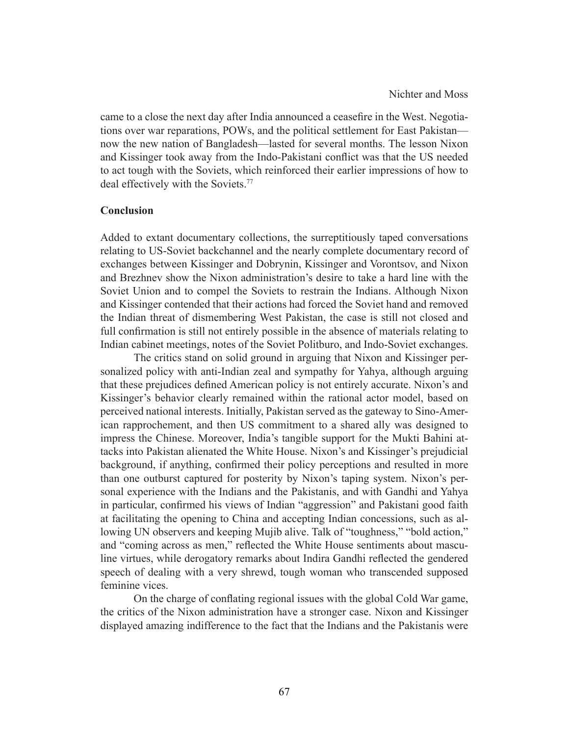came to a close the next day after India announced a ceasefire in the West. Negotiations over war reparations, POWs, and the political settlement for East Pakistan now the new nation of Bangladesh—lasted for several months. The lesson Nixon and Kissinger took away from the Indo-Pakistani conflict was that the US needed to act tough with the Soviets, which reinforced their earlier impressions of how to deal effectively with the Soviets.<sup>77</sup>

#### **Conclusion**

Added to extant documentary collections, the surreptitiously taped conversations relating to US-Soviet backchannel and the nearly complete documentary record of exchanges between Kissinger and Dobrynin, Kissinger and Vorontsov, and Nixon and Brezhnev show the Nixon administration's desire to take a hard line with the Soviet Union and to compel the Soviets to restrain the Indians. Although Nixon and Kissinger contended that their actions had forced the Soviet hand and removed the Indian threat of dismembering West Pakistan, the case is still not closed and full confirmation is still not entirely possible in the absence of materials relating to Indian cabinet meetings, notes of the Soviet Politburo, and Indo-Soviet exchanges.

The critics stand on solid ground in arguing that Nixon and Kissinger personalized policy with anti-Indian zeal and sympathy for Yahya, although arguing that these prejudices defined American policy is not entirely accurate. Nixon's and Kissinger's behavior clearly remained within the rational actor model, based on perceived national interests. Initially, Pakistan served as the gateway to Sino-American rapprochement, and then US commitment to a shared ally was designed to impress the Chinese. Moreover, India's tangible support for the Mukti Bahini attacks into Pakistan alienated the White House. Nixon's and Kissinger's prejudicial background, if anything, confirmed their policy perceptions and resulted in more than one outburst captured for posterity by Nixon's taping system. Nixon's personal experience with the Indians and the Pakistanis, and with Gandhi and Yahya in particular, confirmed his views of Indian "aggression" and Pakistani good faith at facilitating the opening to China and accepting Indian concessions, such as allowing UN observers and keeping Mujib alive. Talk of "toughness," "bold action," and "coming across as men," reflected the White House sentiments about masculine virtues, while derogatory remarks about Indira Gandhi reflected the gendered speech of dealing with a very shrewd, tough woman who transcended supposed feminine vices.

On the charge of conflating regional issues with the global Cold War game, the critics of the Nixon administration have a stronger case. Nixon and Kissinger displayed amazing indifference to the fact that the Indians and the Pakistanis were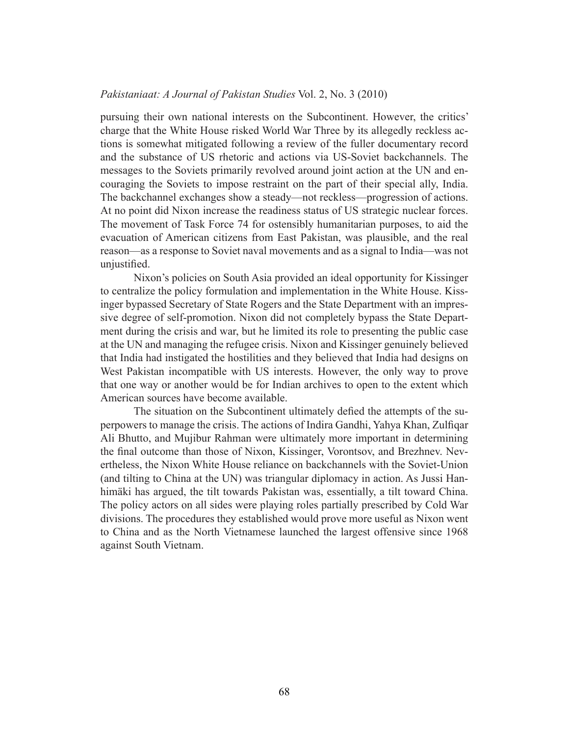pursuing their own national interests on the Subcontinent. However, the critics' charge that the White House risked World War Three by its allegedly reckless actions is somewhat mitigated following a review of the fuller documentary record and the substance of US rhetoric and actions via US-Soviet backchannels. The messages to the Soviets primarily revolved around joint action at the UN and encouraging the Soviets to impose restraint on the part of their special ally, India. The backchannel exchanges show a steady—not reckless—progression of actions. At no point did Nixon increase the readiness status of US strategic nuclear forces. The movement of Task Force 74 for ostensibly humanitarian purposes, to aid the evacuation of American citizens from East Pakistan, was plausible, and the real reason—as a response to Soviet naval movements and as a signal to India—was not unjustified.

Nixon's policies on South Asia provided an ideal opportunity for Kissinger to centralize the policy formulation and implementation in the White House. Kissinger bypassed Secretary of State Rogers and the State Department with an impressive degree of self-promotion. Nixon did not completely bypass the State Department during the crisis and war, but he limited its role to presenting the public case at the UN and managing the refugee crisis. Nixon and Kissinger genuinely believed that India had instigated the hostilities and they believed that India had designs on West Pakistan incompatible with US interests. However, the only way to prove that one way or another would be for Indian archives to open to the extent which American sources have become available.

The situation on the Subcontinent ultimately defied the attempts of the superpowers to manage the crisis. The actions of Indira Gandhi, Yahya Khan, Zulfiqar Ali Bhutto, and Mujibur Rahman were ultimately more important in determining the final outcome than those of Nixon, Kissinger, Vorontsov, and Brezhnev. Nevertheless, the Nixon White House reliance on backchannels with the Soviet-Union (and tilting to China at the UN) was triangular diplomacy in action. As Jussi Hanhimäki has argued, the tilt towards Pakistan was, essentially, a tilt toward China. The policy actors on all sides were playing roles partially prescribed by Cold War divisions. The procedures they established would prove more useful as Nixon went to China and as the North Vietnamese launched the largest offensive since 1968 against South Vietnam.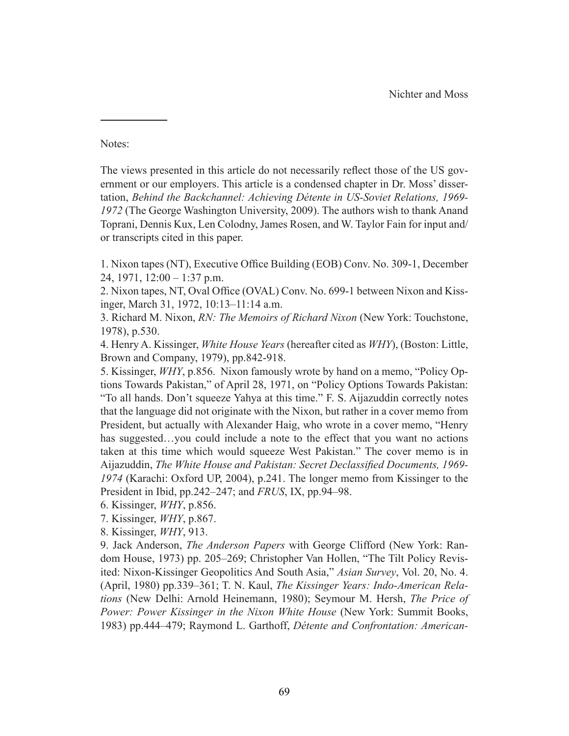Notes:

The views presented in this article do not necessarily reflect those of the US government or our employers. This article is a condensed chapter in Dr. Moss' dissertation, *Behind the Backchannel: Achieving Détente in US-Soviet Relations, 1969- 1972* (The George Washington University, 2009). The authors wish to thank Anand Toprani, Dennis Kux, Len Colodny, James Rosen, and W. Taylor Fain for input and/ or transcripts cited in this paper.

1. Nixon tapes (NT), Executive Office Building (EOB) Conv. No. 309-1, December 24, 1971, 12:00 – 1:37 p.m.

2. Nixon tapes, NT, Oval Office (OVAL) Conv. No. 699-1 between Nixon and Kissinger, March 31, 1972, 10:13–11:14 a.m.

3. Richard M. Nixon, *RN: The Memoirs of Richard Nixon* (New York: Touchstone, 1978), p.530.

4. Henry A. Kissinger, *White House Years* (hereafter cited as *WHY*), (Boston: Little, Brown and Company, 1979), pp.842-918.

5. Kissinger, *WHY*, p.856. Nixon famously wrote by hand on a memo, "Policy Options Towards Pakistan," of April 28, 1971, on "Policy Options Towards Pakistan: "To all hands. Don't squeeze Yahya at this time." F. S. Aijazuddin correctly notes that the language did not originate with the Nixon, but rather in a cover memo from President, but actually with Alexander Haig, who wrote in a cover memo, "Henry has suggested…you could include a note to the effect that you want no actions taken at this time which would squeeze West Pakistan." The cover memo is in Aijazuddin, *The White House and Pakistan: Secret Declassified Documents, 1969- 1974* (Karachi: Oxford UP, 2004), p.241. The longer memo from Kissinger to the President in Ibid, pp.242–247; and *FRUS*, IX, pp.94–98.

6. Kissinger, *WHY*, p.856.

7. Kissinger, *WHY*, p.867.

8. Kissinger, *WHY*, 913.

9. Jack Anderson, *The Anderson Papers* with George Clifford (New York: Random House, 1973) pp. 205–269; Christopher Van Hollen, "The Tilt Policy Revisited: Nixon-Kissinger Geopolitics And South Asia," *Asian Survey*, Vol. 20, No. 4. (April, 1980) pp.339–361; T. N. Kaul, *The Kissinger Years: Indo-American Relations* (New Delhi: Arnold Heinemann, 1980); Seymour M. Hersh, *The Price of Power: Power Kissinger in the Nixon White House* (New York: Summit Books, 1983) pp.444–479; Raymond L. Garthoff, *Détente and Confrontation: American-*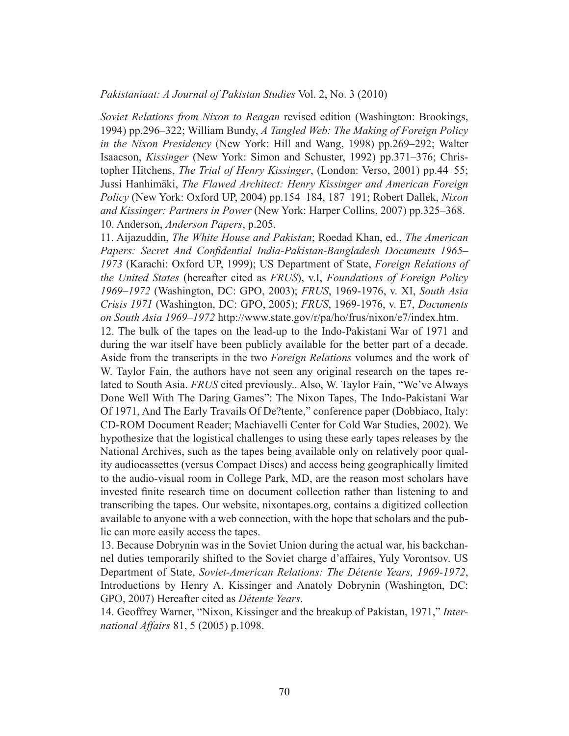*Soviet Relations from Nixon to Reagan* revised edition (Washington: Brookings, 1994) pp.296–322; William Bundy, *A Tangled Web: The Making of Foreign Policy in the Nixon Presidency* (New York: Hill and Wang, 1998) pp.269–292; Walter Isaacson, *Kissinger* (New York: Simon and Schuster, 1992) pp.371–376; Christopher Hitchens, *The Trial of Henry Kissinger*, (London: Verso, 2001) pp.44–55; Jussi Hanhimäki, *The Flawed Architect: Henry Kissinger and American Foreign Policy* (New York: Oxford UP, 2004) pp.154–184, 187–191; Robert Dallek, *Nixon and Kissinger: Partners in Power* (New York: Harper Collins, 2007) pp.325–368. 10. Anderson, *Anderson Papers*, p.205.

11. Aijazuddin, *The White House and Pakistan*; Roedad Khan, ed., *The American Papers: Secret And Confidential India-Pakistan-Bangladesh Documents 1965– 1973* (Karachi: Oxford UP, 1999); US Department of State, *Foreign Relations of the United States* (hereafter cited as *FRUS*), v.I, *Foundations of Foreign Policy 1969–1972* (Washington, DC: GPO, 2003); *FRUS*, 1969-1976, v. XI, *South Asia Crisis 1971* (Washington, DC: GPO, 2005); *FRUS*, 1969-1976, v. E7, *Documents on South Asia 1969–1972* http://www.state.gov/r/pa/ho/frus/nixon/e7/index.htm.

12. The bulk of the tapes on the lead-up to the Indo-Pakistani War of 1971 and during the war itself have been publicly available for the better part of a decade. Aside from the transcripts in the two *Foreign Relations* volumes and the work of W. Taylor Fain, the authors have not seen any original research on the tapes related to South Asia. *FRUS* cited previously.. Also, W. Taylor Fain, "We've Always Done Well With The Daring Games": The Nixon Tapes, The Indo-Pakistani War Of 1971, And The Early Travails Of De?tente," conference paper (Dobbiaco, Italy: CD-ROM Document Reader; Machiavelli Center for Cold War Studies, 2002). We hypothesize that the logistical challenges to using these early tapes releases by the National Archives, such as the tapes being available only on relatively poor quality audiocassettes (versus Compact Discs) and access being geographically limited to the audio-visual room in College Park, MD, are the reason most scholars have invested finite research time on document collection rather than listening to and transcribing the tapes. Our website, nixontapes.org, contains a digitized collection available to anyone with a web connection, with the hope that scholars and the public can more easily access the tapes.

13. Because Dobrynin was in the Soviet Union during the actual war, his backchannel duties temporarily shifted to the Soviet charge d'affaires, Yuly Vorontsov. US Department of State, *Soviet-American Relations: The Détente Years, 1969-1972*, Introductions by Henry A. Kissinger and Anatoly Dobrynin (Washington, DC: GPO, 2007) Hereafter cited as *Détente Years*.

14. Geoffrey Warner, "Nixon, Kissinger and the breakup of Pakistan, 1971," *International Affairs* 81, 5 (2005) p.1098.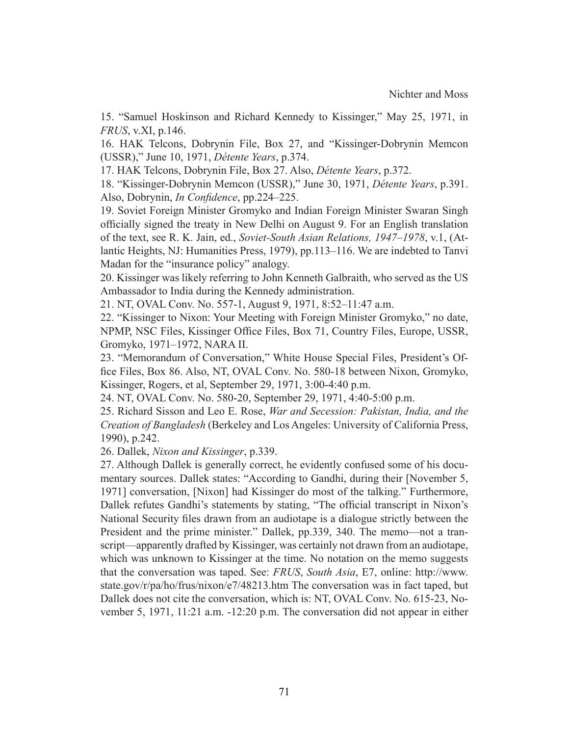15. "Samuel Hoskinson and Richard Kennedy to Kissinger," May 25, 1971, in *FRUS*, v.XI, p.146.

16. HAK Telcons, Dobrynin File, Box 27, and "Kissinger-Dobrynin Memcon (USSR)," June 10, 1971, *Détente Years*, p.374.

17. HAK Telcons, Dobrynin File, Box 27. Also, *Détente Years*, p.372.

18. "Kissinger-Dobrynin Memcon (USSR)," June 30, 1971, *Détente Years*, p.391. Also, Dobrynin, *In Confidence*, pp.224–225.

19. Soviet Foreign Minister Gromyko and Indian Foreign Minister Swaran Singh officially signed the treaty in New Delhi on August 9. For an English translation of the text, see R. K. Jain, ed., *Soviet-South Asian Relations, 1947–1978*, v.1, (Atlantic Heights, NJ: Humanities Press, 1979), pp.113–116. We are indebted to Tanvi Madan for the "insurance policy" analogy.

20. Kissinger was likely referring to John Kenneth Galbraith, who served as the US Ambassador to India during the Kennedy administration.

21. NT, OVAL Conv. No. 557-1, August 9, 1971, 8:52–11:47 a.m.

22. "Kissinger to Nixon: Your Meeting with Foreign Minister Gromyko," no date, NPMP, NSC Files, Kissinger Office Files, Box 71, Country Files, Europe, USSR, Gromyko, 1971–1972, NARA II.

23. "Memorandum of Conversation," White House Special Files, President's Office Files, Box 86. Also, NT, OVAL Conv. No. 580-18 between Nixon, Gromyko, Kissinger, Rogers, et al, September 29, 1971, 3:00-4:40 p.m.

24. NT, OVAL Conv. No. 580-20, September 29, 1971, 4:40-5:00 p.m.

25. Richard Sisson and Leo E. Rose, *War and Secession: Pakistan, India, and the Creation of Bangladesh* (Berkeley and Los Angeles: University of California Press, 1990), p.242.

26. Dallek, *Nixon and Kissinger*, p.339.

27. Although Dallek is generally correct, he evidently confused some of his documentary sources. Dallek states: "According to Gandhi, during their [November 5, 1971] conversation, [Nixon] had Kissinger do most of the talking." Furthermore, Dallek refutes Gandhi's statements by stating, "The official transcript in Nixon's National Security files drawn from an audiotape is a dialogue strictly between the President and the prime minister." Dallek, pp.339, 340. The memo—not a transcript—apparently drafted by Kissinger, was certainly not drawn from an audiotape, which was unknown to Kissinger at the time. No notation on the memo suggests that the conversation was taped. See: *FRUS*, *South Asia*, E7, online: http://www. state.gov/r/pa/ho/frus/nixon/e7/48213.htm The conversation was in fact taped, but Dallek does not cite the conversation, which is: NT, OVAL Conv. No. 615-23, November 5, 1971, 11:21 a.m. -12:20 p.m. The conversation did not appear in either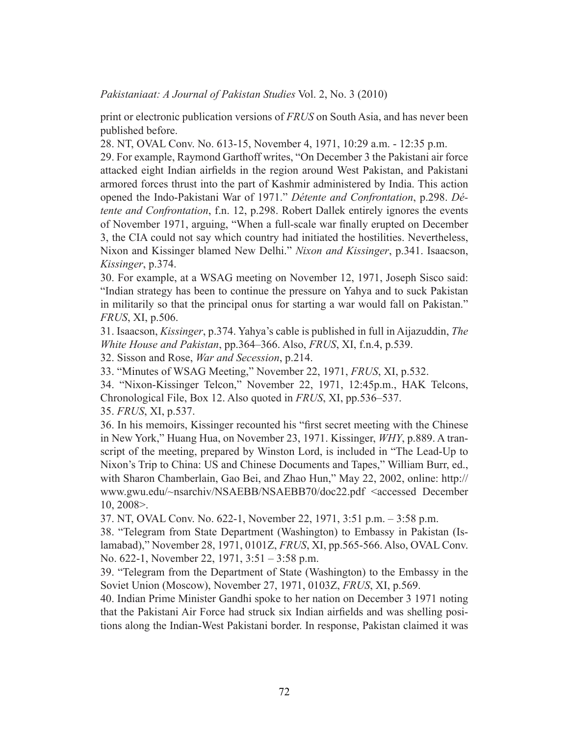print or electronic publication versions of *FRUS* on South Asia, and has never been published before.

28. NT, OVAL Conv. No. 613-15, November 4, 1971, 10:29 a.m. - 12:35 p.m.

29. For example, Raymond Garthoff writes, "On December 3 the Pakistani air force attacked eight Indian airfields in the region around West Pakistan, and Pakistani armored forces thrust into the part of Kashmir administered by India. This action opened the Indo-Pakistani War of 1971." *Détente and Confrontation*, p.298. *Détente and Confrontation*, f.n. 12, p.298. Robert Dallek entirely ignores the events of November 1971, arguing, "When a full-scale war finally erupted on December 3, the CIA could not say which country had initiated the hostilities. Nevertheless, Nixon and Kissinger blamed New Delhi." *Nixon and Kissinger*, p.341. Isaacson, *Kissinger*, p.374.

30. For example, at a WSAG meeting on November 12, 1971, Joseph Sisco said: "Indian strategy has been to continue the pressure on Yahya and to suck Pakistan in militarily so that the principal onus for starting a war would fall on Pakistan." *FRUS*, XI, p.506.

31. Isaacson, *Kissinger*, p.374. Yahya's cable is published in full in Aijazuddin, *The White House and Pakistan*, pp.364–366. Also, *FRUS*, XI, f.n.4, p.539.

32. Sisson and Rose, *War and Secession*, p.214.

33. "Minutes of WSAG Meeting," November 22, 1971, *FRUS*, XI, p.532.

34. "Nixon-Kissinger Telcon," November 22, 1971, 12:45p.m., HAK Telcons, Chronological File, Box 12. Also quoted in *FRUS*, XI, pp.536–537. 35. *FRUS*, XI, p.537.

36. In his memoirs, Kissinger recounted his "first secret meeting with the Chinese in New York," Huang Hua, on November 23, 1971. Kissinger, *WHY*, p.889. A transcript of the meeting, prepared by Winston Lord, is included in "The Lead-Up to Nixon's Trip to China: US and Chinese Documents and Tapes," William Burr, ed., with Sharon Chamberlain, Gao Bei, and Zhao Hun," May 22, 2002, online: http:// www.gwu.edu/~nsarchiv/NSAEBB/NSAEBB70/doc22.pdf <accessed December 10, 2008>.

37. NT, OVAL Conv. No. 622-1, November 22, 1971, 3:51 p.m. – 3:58 p.m.

38. "Telegram from State Department (Washington) to Embassy in Pakistan (Islamabad)," November 28, 1971, 0101Z, *FRUS*, XI, pp.565-566. Also, OVAL Conv. No. 622-1, November 22, 1971, 3:51 – 3:58 p.m.

39. "Telegram from the Department of State (Washington) to the Embassy in the Soviet Union (Moscow), November 27, 1971, 0103Z, *FRUS*, XI, p.569.

40. Indian Prime Minister Gandhi spoke to her nation on December 3 1971 noting that the Pakistani Air Force had struck six Indian airfields and was shelling positions along the Indian-West Pakistani border. In response, Pakistan claimed it was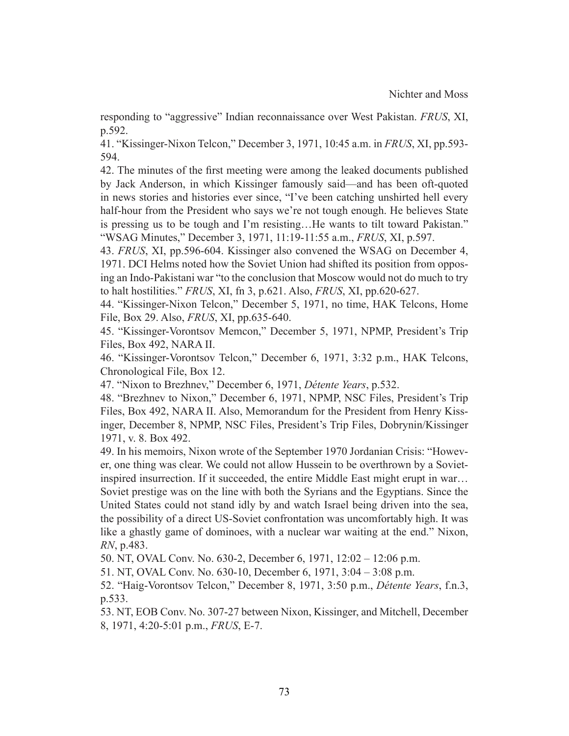responding to "aggressive" Indian reconnaissance over West Pakistan. *FRUS*, XI, p.592.

41. "Kissinger-Nixon Telcon," December 3, 1971, 10:45 a.m. in *FRUS*, XI, pp.593- 594.

42. The minutes of the first meeting were among the leaked documents published by Jack Anderson, in which Kissinger famously said—and has been oft-quoted in news stories and histories ever since, "I've been catching unshirted hell every half-hour from the President who says we're not tough enough. He believes State is pressing us to be tough and I'm resisting…He wants to tilt toward Pakistan." "WSAG Minutes," December 3, 1971, 11:19-11:55 a.m., *FRUS*, XI, p.597.

43. *FRUS*, XI, pp.596-604. Kissinger also convened the WSAG on December 4, 1971. DCI Helms noted how the Soviet Union had shifted its position from opposing an Indo-Pakistani war "to the conclusion that Moscow would not do much to try to halt hostilities." *FRUS*, XI, fn 3, p.621. Also, *FRUS*, XI, pp.620-627.

44. "Kissinger-Nixon Telcon," December 5, 1971, no time, HAK Telcons, Home File, Box 29. Also, *FRUS*, XI, pp.635-640.

45. "Kissinger-Vorontsov Memcon," December 5, 1971, NPMP, President's Trip Files, Box 492, NARA II.

46. "Kissinger-Vorontsov Telcon," December 6, 1971, 3:32 p.m., HAK Telcons, Chronological File, Box 12.

47. "Nixon to Brezhnev," December 6, 1971, *Détente Years*, p.532.

48. "Brezhnev to Nixon," December 6, 1971, NPMP, NSC Files, President's Trip Files, Box 492, NARA II. Also, Memorandum for the President from Henry Kissinger, December 8, NPMP, NSC Files, President's Trip Files, Dobrynin/Kissinger 1971, v. 8. Box 492.

49. In his memoirs, Nixon wrote of the September 1970 Jordanian Crisis: "However, one thing was clear. We could not allow Hussein to be overthrown by a Sovietinspired insurrection. If it succeeded, the entire Middle East might erupt in war… Soviet prestige was on the line with both the Syrians and the Egyptians. Since the United States could not stand idly by and watch Israel being driven into the sea, the possibility of a direct US-Soviet confrontation was uncomfortably high. It was like a ghastly game of dominoes, with a nuclear war waiting at the end." Nixon, *RN*, p.483.

50. NT, OVAL Conv. No. 630-2, December 6, 1971, 12:02 – 12:06 p.m.

51. NT, OVAL Conv. No. 630-10, December 6, 1971, 3:04 – 3:08 p.m.

52. "Haig-Vorontsov Telcon," December 8, 1971, 3:50 p.m., *Détente Years*, f.n.3, p.533.

53. NT, EOB Conv. No. 307-27 between Nixon, Kissinger, and Mitchell, December 8, 1971, 4:20-5:01 p.m., *FRUS*, E-7.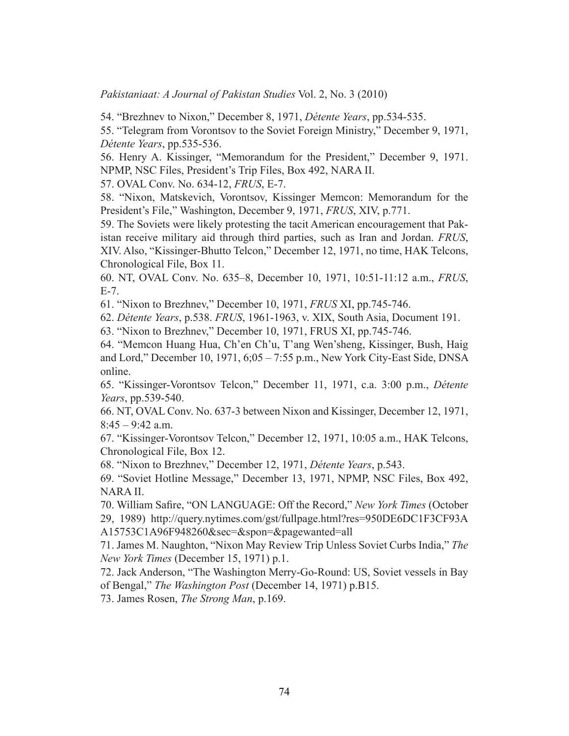54. "Brezhnev to Nixon," December 8, 1971, *Détente Years*, pp.534-535.

55. "Telegram from Vorontsov to the Soviet Foreign Ministry," December 9, 1971, *Détente Years*, pp.535-536.

56. Henry A. Kissinger, "Memorandum for the President," December 9, 1971. NPMP, NSC Files, President's Trip Files, Box 492, NARA II.

57. OVAL Conv. No. 634-12, *FRUS*, E-7.

58. "Nixon, Matskevich, Vorontsov, Kissinger Memcon: Memorandum for the President's File," Washington, December 9, 1971, *FRUS*, XIV, p.771.

59. The Soviets were likely protesting the tacit American encouragement that Pakistan receive military aid through third parties, such as Iran and Jordan. *FRUS*, XIV. Also, "Kissinger-Bhutto Telcon," December 12, 1971, no time, HAK Telcons, Chronological File, Box 11.

60. NT, OVAL Conv. No. 635–8, December 10, 1971, 10:51-11:12 a.m., *FRUS*, E-7.

61. "Nixon to Brezhnev," December 10, 1971, *FRUS* XI, pp.745-746.

62. *Détente Years*, p.538. *FRUS*, 1961-1963, v. XIX, South Asia, Document 191.

63. "Nixon to Brezhnev," December 10, 1971, FRUS XI, pp.745-746.

64. "Memcon Huang Hua, Ch'en Ch'u, T'ang Wen'sheng, Kissinger, Bush, Haig and Lord," December 10, 1971, 6;05 – 7:55 p.m., New York City-East Side, DNSA online.

65. "Kissinger-Vorontsov Telcon," December 11, 1971, c.a. 3:00 p.m., *Détente Years*, pp.539-540.

66. NT, OVAL Conv. No. 637-3 between Nixon and Kissinger, December 12, 1971,  $8:45 - 9:42$  a.m.

67. "Kissinger-Vorontsov Telcon," December 12, 1971, 10:05 a.m., HAK Telcons, Chronological File, Box 12.

68. "Nixon to Brezhnev," December 12, 1971, *Détente Years*, p.543.

69. "Soviet Hotline Message," December 13, 1971, NPMP, NSC Files, Box 492, NARA II.

70. William Safire, "ON LANGUAGE: Off the Record," *New York Times* (October

29, 1989) http://query.nytimes.com/gst/fullpage.html?res=950DE6DC1F3CF93A A15753C1A96F948260&sec=&spon=&pagewanted=all

71. James M. Naughton, "Nixon May Review Trip Unless Soviet Curbs India," *The New York Times* (December 15, 1971) p.1.

72. Jack Anderson, "The Washington Merry-Go-Round: US, Soviet vessels in Bay of Bengal," *The Washington Post* (December 14, 1971) p.B15.

73. James Rosen, *The Strong Man*, p.169.